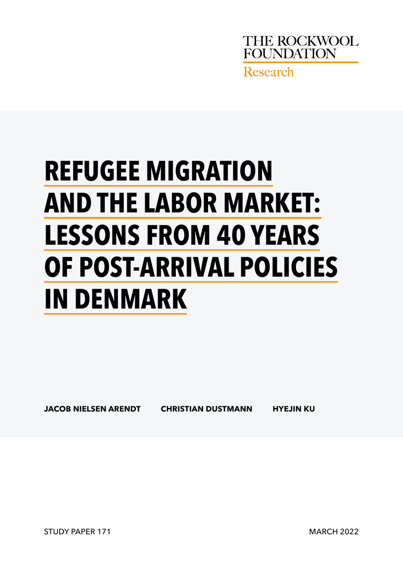

# **REFUGEE MIGRATION AND THE LABOR MARKET: LESSONS FROM 40 YEARS OF POST-ARRIVAL POLICIES IN DENMARK**

**JACOB NIELSEN ARENDT CHRISTIAN DUSTMANN HYEJIN KU**

STUDY PAPER 171 MARCH 2022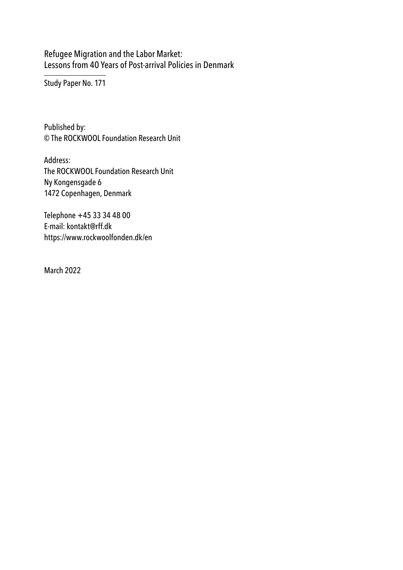Refugee Migration and the Labor Market: Lessons from 40 Years of Post-arrival Policies in Denmark

Study Paper No. 171

Published by: © The ROCKWOOL Foundation Research Unit

Address: The ROCKWOOL Foundation Research Unit Ny Kongensgade 6 1472 Copenhagen, Denmark

Telephone +45 33 34 48 00 E-mail: kontakt@rff.dk https://www.rockwoolfonden.dk/en

March 2022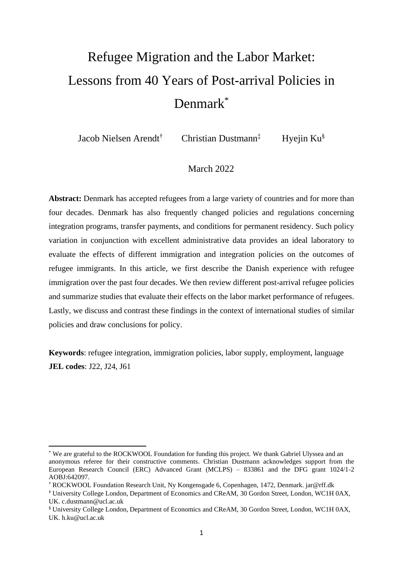# Refugee Migration and the Labor Market: Lessons from 40 Years of Post-arrival Policies in Denmark\*

Jacob Nielsen Arendt† Christian Dustmann‡ Hyejin Ku§

# March 2022

**Abstract:** Denmark has accepted refugees from a large variety of countries and for more than four decades. Denmark has also frequently changed policies and regulations concerning integration programs, transfer payments, and conditions for permanent residency. Such policy variation in conjunction with excellent administrative data provides an ideal laboratory to evaluate the effects of different immigration and integration policies on the outcomes of refugee immigrants. In this article, we first describe the Danish experience with refugee immigration over the past four decades. We then review different post-arrival refugee policies and summarize studies that evaluate their effects on the labor market performance of refugees. Lastly, we discuss and contrast these findings in the context of international studies of similar policies and draw conclusions for policy.

**Keywords**: refugee integration, immigration policies, labor supply, employment, language **JEL codes**: J22, J24, J61

<sup>\*</sup> We are grateful to the ROCKWOOL Foundation for funding this project. We thank Gabriel Ulyssea and an anonymous referee for their constructive comments. Christian Dustmann acknowledges support from the European Research Council (ERC) Advanced Grant (MCLPS) – 833861 and the DFG grant 1024/1-2 AOBJ:642097.

<sup>†</sup> ROCKWOOL Foundation Research Unit, Ny Kongensgade 6, Copenhagen, 1472, Denmark. jar@rff.dk

<sup>‡</sup> University College London, Department of Economics and CReAM, 30 Gordon Street, London, WC1H 0AX, UK. c.dustmann@ucl.ac.uk

<sup>§</sup> University College London, Department of Economics and CReAM, 30 Gordon Street, London, WC1H 0AX, UK. h.ku@ucl.ac.uk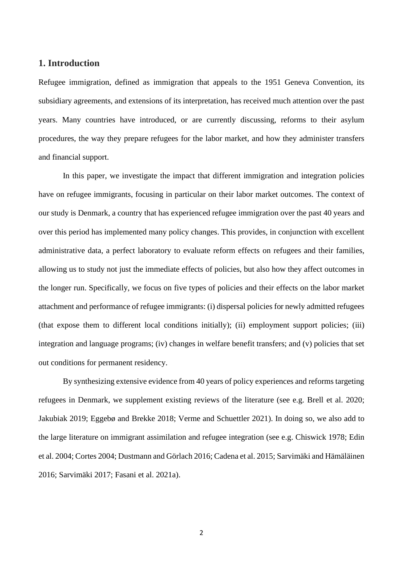# **1. Introduction**

Refugee immigration, defined as immigration that appeals to the 1951 Geneva Convention, its subsidiary agreements, and extensions of its interpretation, has received much attention over the past years. Many countries have introduced, or are currently discussing, reforms to their asylum procedures, the way they prepare refugees for the labor market, and how they administer transfers and financial support.

In this paper, we investigate the impact that different immigration and integration policies have on refugee immigrants, focusing in particular on their labor market outcomes. The context of our study is Denmark, a country that has experienced refugee immigration over the past 40 years and over this period has implemented many policy changes. This provides, in conjunction with excellent administrative data, a perfect laboratory to evaluate reform effects on refugees and their families, allowing us to study not just the immediate effects of policies, but also how they affect outcomes in the longer run. Specifically, we focus on five types of policies and their effects on the labor market attachment and performance of refugee immigrants: (i) dispersal policies for newly admitted refugees (that expose them to different local conditions initially); (ii) employment support policies; (iii) integration and language programs; (iv) changes in welfare benefit transfers; and (v) policies that set out conditions for permanent residency.

By synthesizing extensive evidence from 40 years of policy experiences and reforms targeting refugees in Denmark, we supplement existing reviews of the literature (see e.g. Brell et al. 2020; Jakubiak 2019; Eggebø and Brekke 2018; Verme and Schuettler 2021). In doing so, we also add to the large literature on immigrant assimilation and refugee integration (see e.g. Chiswick 1978; Edin et al. 2004; Cortes 2004; Dustmann and Görlach 2016; Cadena et al. 2015; Sarvimäki and Hämäläinen 2016; Sarvimäki 2017; Fasani et al. 2021a).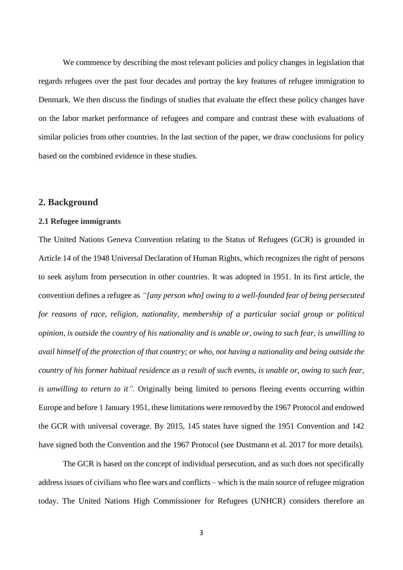We commence by describing the most relevant policies and policy changes in legislation that regards refugees over the past four decades and portray the key features of refugee immigration to Denmark. We then discuss the findings of studies that evaluate the effect these policy changes have on the labor market performance of refugees and compare and contrast these with evaluations of similar policies from other countries. In the last section of the paper, we draw conclusions for policy based on the combined evidence in these studies.

#### **2. Background**

#### **2.1 Refugee immigrants**

The United Nations Geneva Convention relating to the Status of Refugees (GCR) is grounded in Article 14 of the 1948 Universal Declaration of Human Rights, which recognizes the right of persons to seek asylum from persecution in other countries. It was adopted in 1951. In its first article, the convention defines a refugee as *"[any person who] owing to a well-founded fear of being persecuted for reasons of race, religion, nationality, membership of a particular social group or political opinion, is outside the country of his nationality and is unable or, owing to such fear, is unwilling to avail himself of the protection of that country; or who, not having a nationality and being outside the country of his former habitual residence as a result of such events, is unable or, owing to such fear, is unwilling to return to it".* Originally being limited to persons fleeing events occurring within Europe and before 1 January 1951, these limitations were removed by the 1967 Protocol and endowed the GCR with universal coverage. By 2015, 145 states have signed the 1951 Convention and 142 have signed both the Convention and the 1967 Protocol (see Dustmann et al. 2017 for more details).

The GCR is based on the concept of individual persecution, and as such does not specifically address issues of civilians who flee wars and conflicts – which is the main source of refugee migration today. The United Nations High Commissioner for Refugees (UNHCR) considers therefore an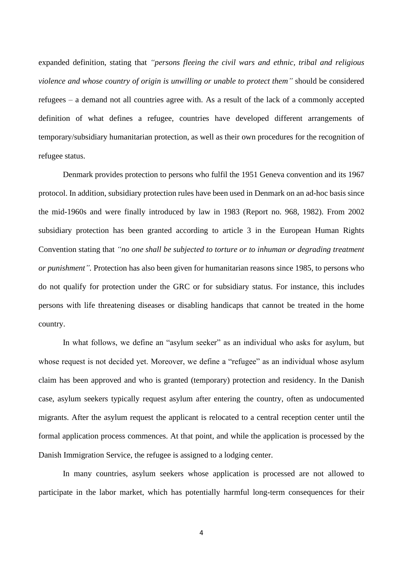expanded definition, stating that *"persons fleeing the civil wars and ethnic, tribal and religious violence and whose country of origin is unwilling or unable to protect them"* should be considered refugees – a demand not all countries agree with. As a result of the lack of a commonly accepted definition of what defines a refugee, countries have developed different arrangements of temporary/subsidiary humanitarian protection, as well as their own procedures for the recognition of refugee status.

Denmark provides protection to persons who fulfil the 1951 Geneva convention and its 1967 protocol. In addition, subsidiary protection rules have been used in Denmark on an ad-hoc basis since the mid-1960s and were finally introduced by law in 1983 (Report no. 968, 1982). From 2002 subsidiary protection has been granted according to article 3 in the European Human Rights Convention stating that *"no one shall be subjected to torture or to inhuman or degrading treatment or punishment".* Protection has also been given for humanitarian reasons since 1985, to persons who do not qualify for protection under the GRC or for subsidiary status. For instance, this includes persons with life threatening diseases or disabling handicaps that cannot be treated in the home country.

In what follows, we define an "asylum seeker" as an individual who asks for asylum, but whose request is not decided yet. Moreover, we define a "refugee" as an individual whose asylum claim has been approved and who is granted (temporary) protection and residency. In the Danish case, asylum seekers typically request asylum after entering the country, often as undocumented migrants. After the asylum request the applicant is relocated to a central reception center until the formal application process commences. At that point, and while the application is processed by the Danish Immigration Service, the refugee is assigned to a lodging center.

In many countries, asylum seekers whose application is processed are not allowed to participate in the labor market, which has potentially harmful long-term consequences for their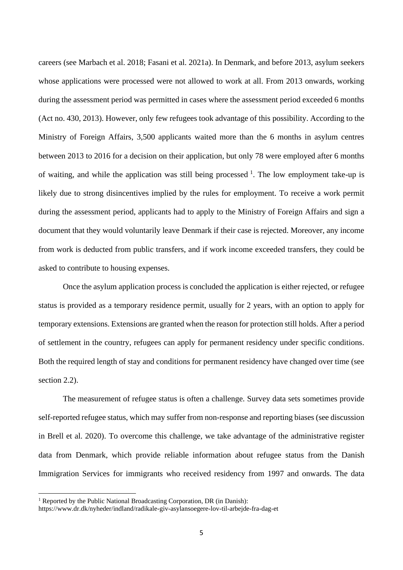careers (see Marbach et al. 2018; Fasani et al. 2021a). In Denmark, and before 2013, asylum seekers whose applications were processed were not allowed to work at all. From 2013 onwards, working during the assessment period was permitted in cases where the assessment period exceeded 6 months (Act no. 430, 2013). However, only few refugees took advantage of this possibility. According to the Ministry of Foreign Affairs, 3,500 applicants waited more than the 6 months in asylum centres between 2013 to 2016 for a decision on their application, but only 78 were employed after 6 months of waiting, and while the application was still being processed  $\frac{1}{1}$ . The low employment take-up is likely due to strong disincentives implied by the rules for employment. To receive a work permit during the assessment period, applicants had to apply to the Ministry of Foreign Affairs and sign a document that they would voluntarily leave Denmark if their case is rejected. Moreover, any income from work is deducted from public transfers, and if work income exceeded transfers, they could be asked to contribute to housing expenses.

Once the asylum application process is concluded the application is either rejected, or refugee status is provided as a temporary residence permit, usually for 2 years, with an option to apply for temporary extensions. Extensions are granted when the reason for protection still holds. After a period of settlement in the country, refugees can apply for permanent residency under specific conditions. Both the required length of stay and conditions for permanent residency have changed over time (see section 2.2).

The measurement of refugee status is often a challenge. Survey data sets sometimes provide self-reported refugee status, which may suffer from non-response and reporting biases (see discussion in Brell et al. 2020). To overcome this challenge, we take advantage of the administrative register data from Denmark, which provide reliable information about refugee status from the Danish Immigration Services for immigrants who received residency from 1997 and onwards. The data

<sup>&</sup>lt;sup>1</sup> Reported by the Public National Broadcasting Corporation, DR (in Danish):

https://www.dr.dk/nyheder/indland/radikale-giv-asylansoegere-lov-til-arbejde-fra-dag-et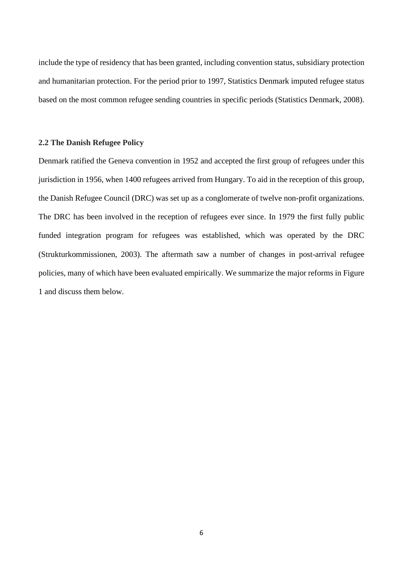include the type of residency that has been granted, including convention status, subsidiary protection and humanitarian protection. For the period prior to 1997, Statistics Denmark imputed refugee status based on the most common refugee sending countries in specific periods (Statistics Denmark, 2008).

#### **2.2 The Danish Refugee Policy**

Denmark ratified the Geneva convention in 1952 and accepted the first group of refugees under this jurisdiction in 1956, when 1400 refugees arrived from Hungary. To aid in the reception of this group, the Danish Refugee Council (DRC) was set up as a conglomerate of twelve non-profit organizations. The DRC has been involved in the reception of refugees ever since. In 1979 the first fully public funded integration program for refugees was established, which was operated by the DRC (Strukturkommissionen, 2003). The aftermath saw a number of changes in post-arrival refugee policies, many of which have been evaluated empirically. We summarize the major reforms in Figure 1 and discuss them below.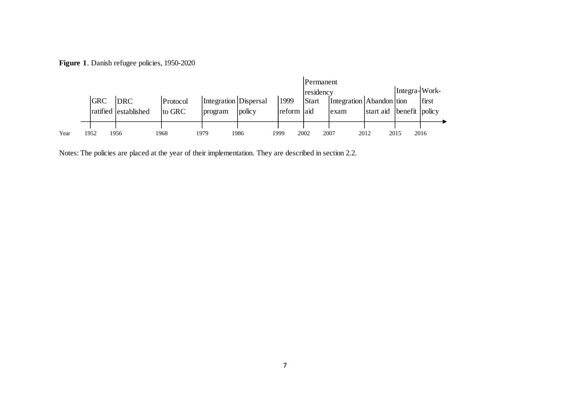**Figure 1**. Danish refugee policies, 1950-2020

|      |            |                      |          |                       |        |            | <b>Permanent</b> |                          |           |                |       |
|------|------------|----------------------|----------|-----------------------|--------|------------|------------------|--------------------------|-----------|----------------|-------|
|      |            |                      |          |                       |        |            | residency        |                          |           | Integra-Work-  |       |
|      | <b>GRC</b> | <b>DRC</b>           | Protocol | Integration Dispersal |        | 1999       | <b>Start</b>     | Integration Abandon tion |           |                | first |
|      |            | ratified established | to GRC   | program               | policy | reform aid |                  | exam                     | start aid | benefit policy |       |
|      |            |                      |          |                       |        |            |                  |                          |           |                |       |
|      |            |                      |          |                       |        |            |                  |                          |           |                |       |
| Year | 1952       | !956                 | 1968     | 1979                  | 1986   | 1999       | 2007<br>2002     | 2012                     |           | 2015           | 2016  |

Notes: The policies are placed at the year of their implementation. They are described in section 2.2.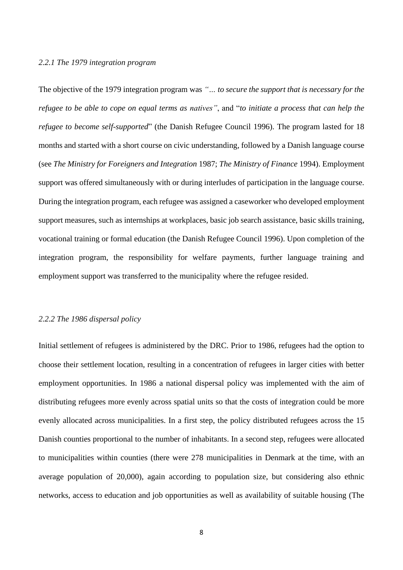#### *2.2.1 The 1979 integration program*

The objective of the 1979 integration program was *"… to secure the support that is necessary for the refugee to be able to cope on equal terms as natives"*, and "*to initiate a process that can help the refugee to become self-supported*" (the Danish Refugee Council 1996). The program lasted for 18 months and started with a short course on civic understanding, followed by a Danish language course (see *The Ministry for Foreigners and Integration* 1987; *The Ministry of Finance* 1994). Employment support was offered simultaneously with or during interludes of participation in the language course. During the integration program, each refugee was assigned a caseworker who developed employment support measures, such as internships at workplaces, basic job search assistance, basic skills training, vocational training or formal education (the Danish Refugee Council 1996). Upon completion of the integration program, the responsibility for welfare payments, further language training and employment support was transferred to the municipality where the refugee resided.

#### *2.2.2 The 1986 dispersal policy*

Initial settlement of refugees is administered by the DRC. Prior to 1986, refugees had the option to choose their settlement location, resulting in a concentration of refugees in larger cities with better employment opportunities. In 1986 a national dispersal policy was implemented with the aim of distributing refugees more evenly across spatial units so that the costs of integration could be more evenly allocated across municipalities. In a first step, the policy distributed refugees across the 15 Danish counties proportional to the number of inhabitants. In a second step, refugees were allocated to municipalities within counties (there were 278 municipalities in Denmark at the time, with an average population of 20,000), again according to population size, but considering also ethnic networks, access to education and job opportunities as well as availability of suitable housing (The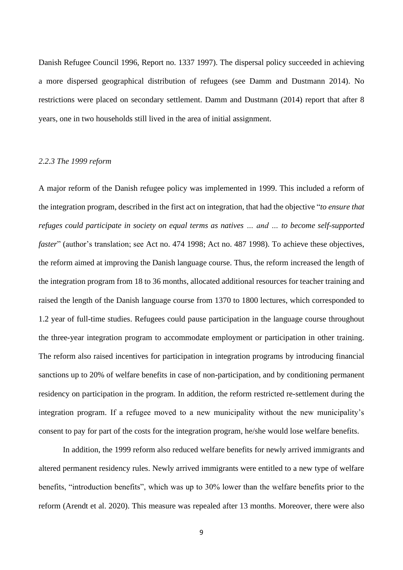Danish Refugee Council 1996, Report no. 1337 1997). The dispersal policy succeeded in achieving a more dispersed geographical distribution of refugees (see Damm and Dustmann 2014). No restrictions were placed on secondary settlement. Damm and Dustmann (2014) report that after 8 years, one in two households still lived in the area of initial assignment.

## *2.2.3 The 1999 reform*

A major reform of the Danish refugee policy was implemented in 1999. This included a reform of the integration program, described in the first act on integration, that had the objective "*to ensure that refuges could participate in society on equal terms as natives … and … to become self-supported faster*" (author's translation; see Act no. 474 1998; Act no. 487 1998). To achieve these objectives, the reform aimed at improving the Danish language course. Thus, the reform increased the length of the integration program from 18 to 36 months, allocated additional resources for teacher training and raised the length of the Danish language course from 1370 to 1800 lectures, which corresponded to 1.2 year of full-time studies. Refugees could pause participation in the language course throughout the three-year integration program to accommodate employment or participation in other training. The reform also raised incentives for participation in integration programs by introducing financial sanctions up to 20% of welfare benefits in case of non-participation, and by conditioning permanent residency on participation in the program. In addition, the reform restricted re-settlement during the integration program. If a refugee moved to a new municipality without the new municipality's consent to pay for part of the costs for the integration program, he/she would lose welfare benefits.

In addition, the 1999 reform also reduced welfare benefits for newly arrived immigrants and altered permanent residency rules. Newly arrived immigrants were entitled to a new type of welfare benefits, "introduction benefits", which was up to 30% lower than the welfare benefits prior to the reform (Arendt et al. 2020). This measure was repealed after 13 months. Moreover, there were also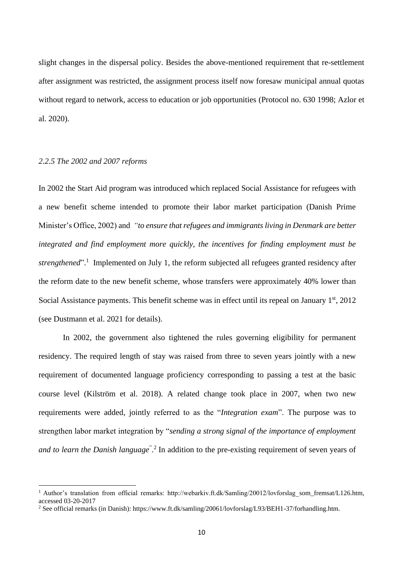slight changes in the dispersal policy. Besides the above-mentioned requirement that re-settlement after assignment was restricted, the assignment process itself now foresaw municipal annual quotas without regard to network, access to education or job opportunities (Protocol no. 630 1998; Azlor et al. 2020).

#### *2.2.5 The 2002 and 2007 reforms*

In 2002 the Start Aid program was introduced which replaced Social Assistance for refugees with a new benefit scheme intended to promote their labor market participation (Danish Prime Minister's Office, 2002) and *"to ensure that refugees and immigrants living in Denmark are better integrated and find employment more quickly, the incentives for finding employment must be*  strengthened".<sup>1</sup> Implemented on July 1, the reform subjected all refugees granted residency after the reform date to the new benefit scheme, whose transfers were approximately 40% lower than Social Assistance payments. This benefit scheme was in effect until its repeal on January  $1<sup>st</sup>$ , 2012 (see Dustmann et al. 2021 for details).

In 2002, the government also tightened the rules governing eligibility for permanent residency. The required length of stay was raised from three to seven years jointly with a new requirement of documented language proficiency corresponding to passing a test at the basic course level (Kilström et al. 2018). A related change took place in 2007, when two new requirements were added, jointly referred to as the "*Integration exam*". The purpose was to strengthen labor market integration by "*sending a strong signal of the importance of employment*  and to learn the Danish language<sup>" 2</sup>.<sup>2</sup> In addition to the pre-existing requirement of seven years of

<sup>&</sup>lt;sup>1</sup> Author's translation from official remarks: http://webarkiv.ft.dk/Samling/20012/lovforslag\_som\_fremsat/L126.htm, accessed 03-20-2017

<sup>&</sup>lt;sup>2</sup> See official remarks (in Danish): https://www.ft.dk/samling/20061/lovforslag/L93/BEH1-37/forhandling.htm.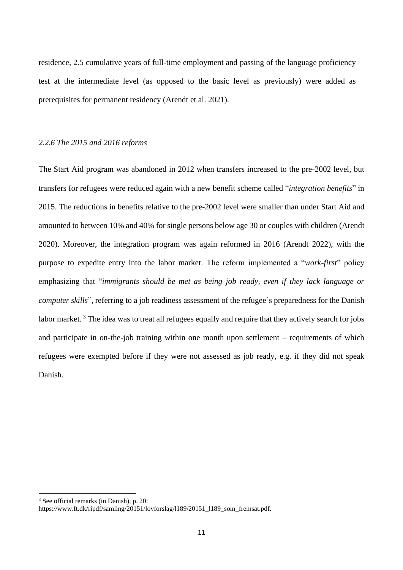residence, 2.5 cumulative years of full-time employment and passing of the language proficiency test at the intermediate level (as opposed to the basic level as previously) were added as prerequisites for permanent residency (Arendt et al. 2021).

#### *2.2.6 The 2015 and 2016 reforms*

The Start Aid program was abandoned in 2012 when transfers increased to the pre-2002 level, but transfers for refugees were reduced again with a new benefit scheme called "*integration benefits*" in 2015. The reductions in benefits relative to the pre-2002 level were smaller than under Start Aid and amounted to between 10% and 40% for single persons below age 30 or couples with children (Arendt 2020). Moreover, the integration program was again reformed in 2016 (Arendt 2022), with the purpose to expedite entry into the labor market. The reform implemented a "*work-first*" policy emphasizing that "*immigrants should be met as being job ready, even if they lack language or computer skills*", referring to a job readiness assessment of the refugee's preparedness for the Danish labor market.<sup>3</sup> The idea was to treat all refugees equally and require that they actively search for jobs and participate in on-the-job training within one month upon settlement – requirements of which refugees were exempted before if they were not assessed as job ready, e.g. if they did not speak Danish.

<sup>3</sup> See official remarks (in Danish), p. 20:

https://www.ft.dk/ripdf/samling/20151/lovforslag/l189/20151\_l189\_som\_fremsat.pdf.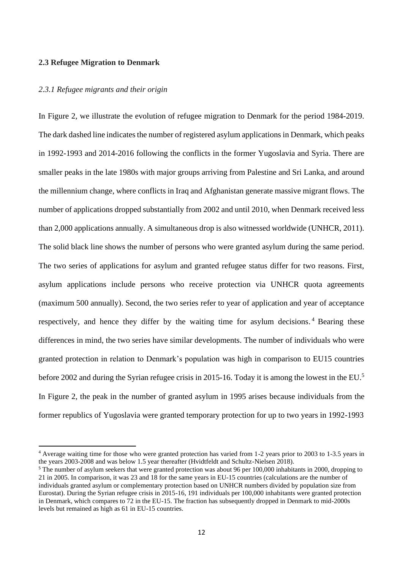#### **2.3 Refugee Migration to Denmark**

#### *2.3.1 Refugee migrants and their origin*

In Figure 2, we illustrate the evolution of refugee migration to Denmark for the period 1984-2019. The dark dashed line indicates the number of registered asylum applications in Denmark, which peaks in 1992-1993 and 2014-2016 following the conflicts in the former Yugoslavia and Syria. There are smaller peaks in the late 1980s with major groups arriving from Palestine and Sri Lanka, and around the millennium change, where conflicts in Iraq and Afghanistan generate massive migrant flows. The number of applications dropped substantially from 2002 and until 2010, when Denmark received less than 2,000 applications annually. A simultaneous drop is also witnessed worldwide (UNHCR, 2011). The solid black line shows the number of persons who were granted asylum during the same period. The two series of applications for asylum and granted refugee status differ for two reasons. First, asylum applications include persons who receive protection via UNHCR quota agreements (maximum 500 annually). Second, the two series refer to year of application and year of acceptance respectively, and hence they differ by the waiting time for asylum decisions.<sup>4</sup> Bearing these differences in mind, the two series have similar developments. The number of individuals who were granted protection in relation to Denmark's population was high in comparison to EU15 countries before 2002 and during the Syrian refugee crisis in 2015-16. Today it is among the lowest in the EU.<sup>5</sup> In Figure 2, the peak in the number of granted asylum in 1995 arises because individuals from the former republics of Yugoslavia were granted temporary protection for up to two years in 1992-1993

<sup>4</sup> Average waiting time for those who were granted protection has varied from 1-2 years prior to 2003 to 1-3.5 years in the years 2003-2008 and was below 1.5 year thereafter (Hvidtfeldt and Schultz-Nielsen 2018).

<sup>&</sup>lt;sup>5</sup> The number of asylum seekers that were granted protection was about 96 per 100,000 inhabitants in 2000, dropping to 21 in 2005. In comparison, it was 23 and 18 for the same years in EU-15 countries (calculations are the number of individuals granted asylum or complementary protection based on UNHCR numbers divided by population size from Eurostat). During the Syrian refugee crisis in 2015-16, 191 individuals per 100,000 inhabitants were granted protection in Denmark, which compares to 72 in the EU-15. The fraction has subsequently dropped in Denmark to mid-2000s levels but remained as high as 61 in EU-15 countries.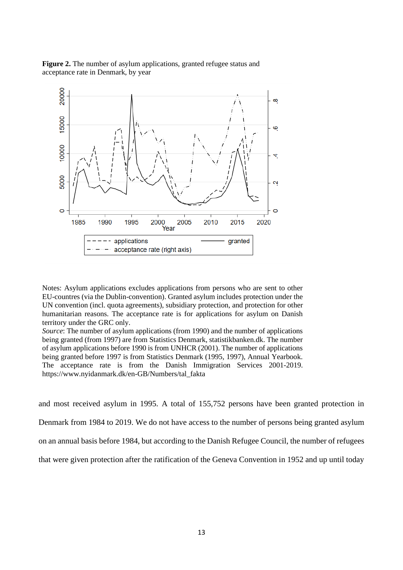



Notes: Asylum applications excludes applications from persons who are sent to other EU-countres (via the Dublin-convention). Granted asylum includes protection under the UN convention (incl. quota agreements), subsidiary protection, and protection for other humanitarian reasons. The acceptance rate is for applications for asylum on Danish territory under the GRC only.

*Source*: The number of asylum applications (from 1990) and the number of applications being granted (from 1997) are from Statistics Denmark, statistikbanken.dk. The number of asylum applications before 1990 is from UNHCR (2001). The number of applications being granted before 1997 is from Statistics Denmark (1995, 1997), Annual Yearbook. The acceptance rate is from the Danish Immigration Services 2001-2019. https://www.nyidanmark.dk/en-GB/Numbers/tal\_fakta

and most received asylum in 1995. A total of 155,752 persons have been granted protection in Denmark from 1984 to 2019. We do not have access to the number of persons being granted asylum on an annual basis before 1984, but according to the Danish Refugee Council, the number of refugees that were given protection after the ratification of the Geneva Convention in 1952 and up until today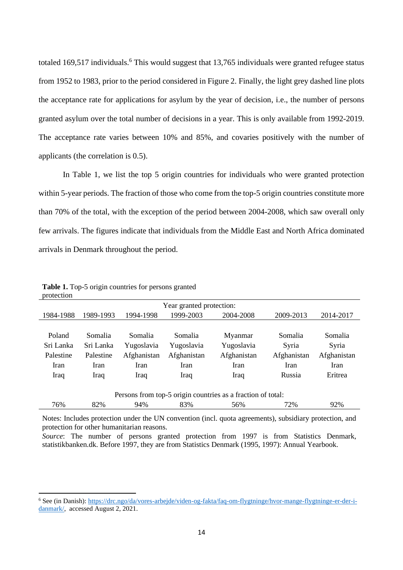totaled 169,517 individuals.<sup>6</sup> This would suggest that 13,765 individuals were granted refugee status from 1952 to 1983, prior to the period considered in Figure 2. Finally, the light grey dashed line plots the acceptance rate for applications for asylum by the year of decision, i.e., the number of persons granted asylum over the total number of decisions in a year. This is only available from 1992-2019. The acceptance rate varies between 10% and 85%, and covaries positively with the number of applicants (the correlation is 0.5).

In Table 1, we list the top 5 origin countries for individuals who were granted protection within 5-year periods. The fraction of those who come from the top-5 origin countries constitute more than 70% of the total, with the exception of the period between 2004-2008, which saw overall only few arrivals. The figures indicate that individuals from the Middle East and North Africa dominated arrivals in Denmark throughout the period.

| Year granted protection:                                    |           |             |             |             |             |             |  |  |  |
|-------------------------------------------------------------|-----------|-------------|-------------|-------------|-------------|-------------|--|--|--|
| 1984-1988                                                   | 1989-1993 | 1994-1998   | 1999-2003   | 2004-2008   | 2009-2013   | 2014-2017   |  |  |  |
|                                                             |           |             |             |             |             |             |  |  |  |
| Poland                                                      | Somalia   | Somalia     | Somalia     | Myanmar     | Somalia     | Somalia     |  |  |  |
| Sri Lanka                                                   | Sri Lanka | Yugoslavia  | Yugoslavia  | Yugoslavia  | Syria       | Syria       |  |  |  |
| Palestine                                                   | Palestine | Afghanistan | Afghanistan | Afghanistan | Afghanistan | Afghanistan |  |  |  |
| Iran                                                        | Iran      | Iran        | Iran        | Iran        | <b>Iran</b> | Iran        |  |  |  |
| <b>Iraq</b>                                                 | Iraq      | Iraq        | Iraq        | Iraq        | Russia      | Eritrea     |  |  |  |
|                                                             |           |             |             |             |             |             |  |  |  |
| Persons from top-5 origin countries as a fraction of total: |           |             |             |             |             |             |  |  |  |
| 76%                                                         | 82%       | 94%         | 83%         | 56%         | 72%         | 92%         |  |  |  |

**Table 1.** Top-5 origin countries for persons granted protection

Notes: Includes protection under the UN convention (incl. quota agreements), subsidiary protection, and protection for other humanitarian reasons.

*Source*: The number of persons granted protection from 1997 is from Statistics Denmark, statistikbanken.dk. Before 1997, they are from Statistics Denmark (1995, 1997): Annual Yearbook.

<sup>6</sup> See (in Danish): [https://drc.ngo/da/vores-arbejde/viden-og-fakta/faq-om-flygtninge/hvor-mange-flygtninge-er-der-i](https://drc.ngo/da/vores-arbejde/viden-og-fakta/faq-om-flygtninge/hvor-mange-flygtninge-er-der-i-danmark/)[danmark/,](https://drc.ngo/da/vores-arbejde/viden-og-fakta/faq-om-flygtninge/hvor-mange-flygtninge-er-der-i-danmark/) accessed August 2, 2021.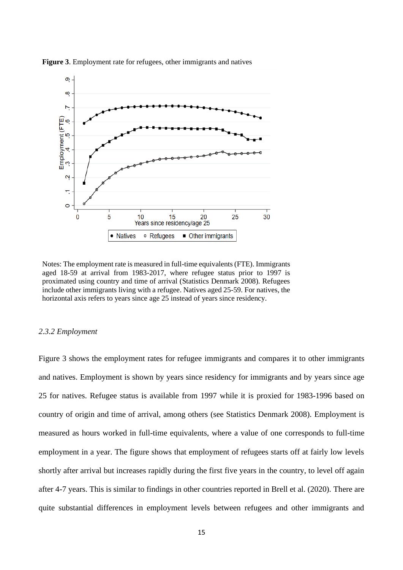

**Figure 3**. Employment rate for refugees, other immigrants and natives

Notes: The employment rate is measured in full-time equivalents (FTE). Immigrants aged 18-59 at arrival from 1983-2017, where refugee status prior to 1997 is proximated using country and time of arrival (Statistics Denmark 2008). Refugees include other immigrants living with a refugee. Natives aged 25-59. For natives, the horizontal axis refers to years since age 25 instead of years since residency.

#### *2.3.2 Employment*

Figure 3 shows the employment rates for refugee immigrants and compares it to other immigrants and natives. Employment is shown by years since residency for immigrants and by years since age 25 for natives. Refugee status is available from 1997 while it is proxied for 1983-1996 based on country of origin and time of arrival, among others (see Statistics Denmark 2008). Employment is measured as hours worked in full-time equivalents, where a value of one corresponds to full-time employment in a year. The figure shows that employment of refugees starts off at fairly low levels shortly after arrival but increases rapidly during the first five years in the country, to level off again after 4-7 years. This is similar to findings in other countries reported in Brell et al. (2020). There are quite substantial differences in employment levels between refugees and other immigrants and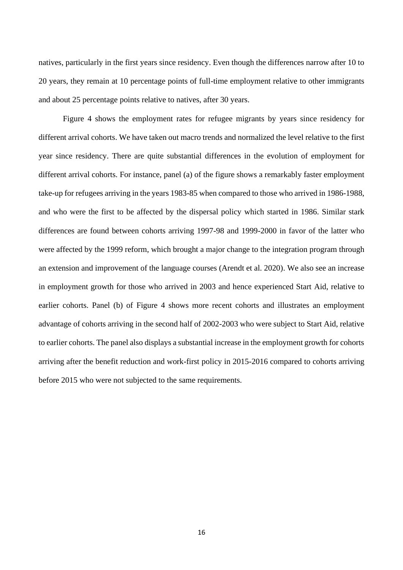natives, particularly in the first years since residency. Even though the differences narrow after 10 to 20 years, they remain at 10 percentage points of full-time employment relative to other immigrants and about 25 percentage points relative to natives, after 30 years.

Figure 4 shows the employment rates for refugee migrants by years since residency for different arrival cohorts. We have taken out macro trends and normalized the level relative to the first year since residency. There are quite substantial differences in the evolution of employment for different arrival cohorts. For instance, panel (a) of the figure shows a remarkably faster employment take-up for refugees arriving in the years 1983-85 when compared to those who arrived in 1986-1988, and who were the first to be affected by the dispersal policy which started in 1986. Similar stark differences are found between cohorts arriving 1997-98 and 1999-2000 in favor of the latter who were affected by the 1999 reform, which brought a major change to the integration program through an extension and improvement of the language courses (Arendt et al. 2020). We also see an increase in employment growth for those who arrived in 2003 and hence experienced Start Aid, relative to earlier cohorts. Panel (b) of Figure 4 shows more recent cohorts and illustrates an employment advantage of cohorts arriving in the second half of 2002-2003 who were subject to Start Aid, relative to earlier cohorts. The panel also displays a substantial increase in the employment growth for cohorts arriving after the benefit reduction and work-first policy in 2015-2016 compared to cohorts arriving before 2015 who were not subjected to the same requirements.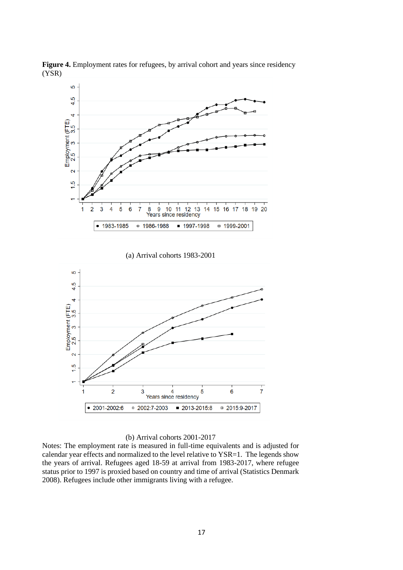

**Figure 4.** Employment rates for refugees, by arrival cohort and years since residency (YSR)

(a) Arrival cohorts 1983-2001



#### (b) Arrival cohorts 2001-2017

Notes: The employment rate is measured in full-time equivalents and is adjusted for calendar year effects and normalized to the level relative to YSR=1. The legends show the years of arrival. Refugees aged 18-59 at arrival from 1983-2017, where refugee status prior to 1997 is proxied based on country and time of arrival (Statistics Denmark 2008). Refugees include other immigrants living with a refugee.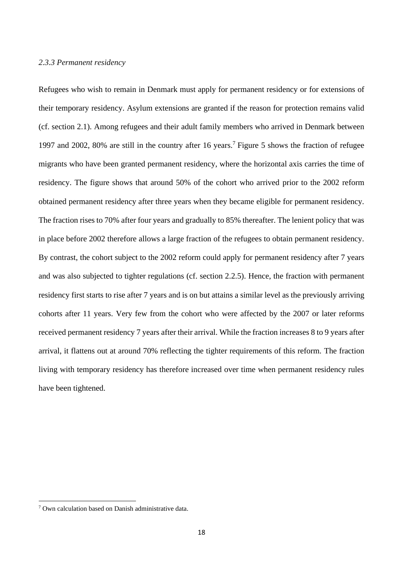#### *2.3.3 Permanent residency*

Refugees who wish to remain in Denmark must apply for permanent residency or for extensions of their temporary residency. Asylum extensions are granted if the reason for protection remains valid (cf. section 2.1). Among refugees and their adult family members who arrived in Denmark between 1997 and 2002, 80% are still in the country after 16 years. <sup>7</sup> Figure 5 shows the fraction of refugee migrants who have been granted permanent residency, where the horizontal axis carries the time of residency. The figure shows that around 50% of the cohort who arrived prior to the 2002 reform obtained permanent residency after three years when they became eligible for permanent residency. The fraction rises to 70% after four years and gradually to 85% thereafter. The lenient policy that was in place before 2002 therefore allows a large fraction of the refugees to obtain permanent residency. By contrast, the cohort subject to the 2002 reform could apply for permanent residency after 7 years and was also subjected to tighter regulations (cf. section 2.2.5). Hence, the fraction with permanent residency first starts to rise after 7 years and is on but attains a similar level as the previously arriving cohorts after 11 years. Very few from the cohort who were affected by the 2007 or later reforms received permanent residency 7 years after their arrival. While the fraction increases 8 to 9 years after arrival, it flattens out at around 70% reflecting the tighter requirements of this reform. The fraction living with temporary residency has therefore increased over time when permanent residency rules have been tightened.

<sup>7</sup> Own calculation based on Danish administrative data.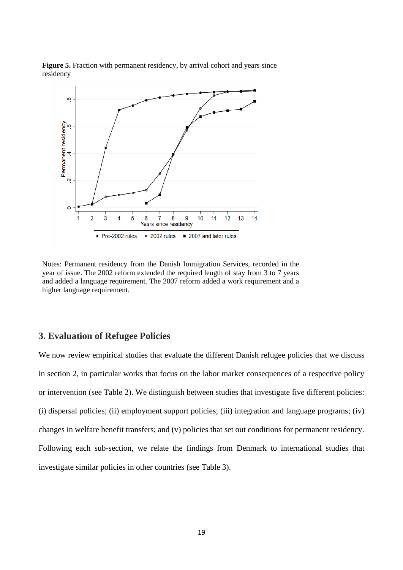

**Figure 5.** Fraction with permanent residency, by arrival cohort and years since residency

Notes: Permanent residency from the Danish Immigration Services, recorded in the year of issue. The 2002 reform extended the required length of stay from 3 to 7 years and added a language requirement. The 2007 reform added a work requirement and a higher language requirement.

# **3. Evaluation of Refugee Policies**

We now review empirical studies that evaluate the different Danish refugee policies that we discuss in section 2, in particular works that focus on the labor market consequences of a respective policy or intervention (see Table 2). We distinguish between studies that investigate five different policies: (i) dispersal policies; (ii) employment support policies; (iii) integration and language programs; (iv) changes in welfare benefit transfers; and (v) policies that set out conditions for permanent residency. Following each sub-section, we relate the findings from Denmark to international studies that investigate similar policies in other countries (see Table 3).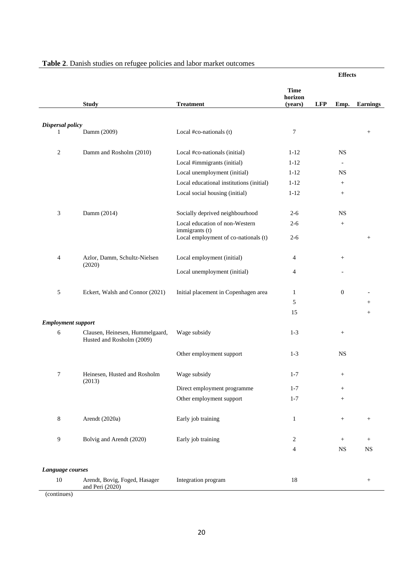|                           |                                                              |                                                        |                        | <b>Effects</b> |                                                                                                                                           |                 |
|---------------------------|--------------------------------------------------------------|--------------------------------------------------------|------------------------|----------------|-------------------------------------------------------------------------------------------------------------------------------------------|-----------------|
|                           |                                                              |                                                        | <b>Time</b><br>horizon |                |                                                                                                                                           |                 |
|                           | <b>Study</b>                                                 | <b>Treatment</b>                                       | (years)                | <b>LFP</b>     |                                                                                                                                           | <b>Earnings</b> |
|                           |                                                              |                                                        |                        |                |                                                                                                                                           |                 |
| Dispersal policy<br>1     | Damm (2009)                                                  | Local #co-nationals (t)                                | 7                      |                |                                                                                                                                           | $^{+}$          |
| $\overline{c}$            | Damm and Rosholm (2010)                                      | Local #co-nationals (initial)                          | $1 - 12$               |                | <b>NS</b>                                                                                                                                 |                 |
|                           |                                                              | Local #immigrants (initial)                            | $1 - 12$               |                | $\overline{\phantom{a}}$                                                                                                                  |                 |
|                           |                                                              | Local unemployment (initial)                           | $1 - 12$               |                | <b>NS</b>                                                                                                                                 |                 |
|                           |                                                              | Local educational institutions (initial)               | $1 - 12$               |                | $\begin{array}{c} + \end{array}$                                                                                                          |                 |
|                           |                                                              | Local social housing (initial)                         | $1 - 12$               |                | $\! + \!\!\!\!$                                                                                                                           |                 |
| 3                         | Damm (2014)                                                  | Socially deprived neighbourhood                        | $2 - 6$                |                | <b>NS</b>                                                                                                                                 |                 |
|                           |                                                              | Local education of non-Western                         | $2 - 6$                |                | $\boldsymbol{+}$                                                                                                                          |                 |
|                           |                                                              | immigrants (t)<br>Local employment of co-nationals (t) | $2 - 6$                |                |                                                                                                                                           | $^{+}$          |
| 4                         | Azlor, Damm, Schultz-Nielsen<br>(2020)                       | Local employment (initial)                             | $\overline{4}$         |                | $\! + \!\!\!\!$                                                                                                                           |                 |
|                           |                                                              | Local unemployment (initial)                           | 4                      |                | Emp.<br>$\mathbf{0}$<br>$\begin{array}{c} + \end{array}$<br><b>NS</b><br>$^{+}$<br>$\! + \!\!\!\!$<br>$^{+}$<br>$+$<br>$+$<br>$_{\rm NS}$ |                 |
| 5                         | Eckert, Walsh and Connor (2021)                              | Initial placement in Copenhagen area                   | $\mathbf{1}$           |                |                                                                                                                                           |                 |
|                           |                                                              |                                                        | 5                      |                |                                                                                                                                           | $^{+}$          |
|                           |                                                              |                                                        | 15                     |                |                                                                                                                                           | $\! + \!\!\!\!$ |
| <b>Employment support</b> |                                                              |                                                        |                        |                |                                                                                                                                           |                 |
| 6                         | Clausen, Heinesen, Hummelgaard,<br>Husted and Rosholm (2009) | Wage subsidy                                           | $1 - 3$                |                |                                                                                                                                           |                 |
|                           |                                                              | Other employment support                               | $1-3$                  |                |                                                                                                                                           |                 |
| 7                         | Heinesen. Husted and Rosholm<br>(2013)                       | Wage subsidy                                           | $1 - 7$                |                |                                                                                                                                           |                 |
|                           |                                                              | Direct employment programme                            | $1 - 7$                |                |                                                                                                                                           |                 |
|                           |                                                              | Other employment support                               | $1 - 7$                |                |                                                                                                                                           |                 |
| $\,8\,$                   | Arendt (2020a)                                               | Early job training                                     | $\,1$                  |                |                                                                                                                                           | $^{+}$          |
| 9                         | Bolvig and Arendt (2020)                                     | Early job training                                     | 2                      |                |                                                                                                                                           | $^{+}$          |
|                           |                                                              |                                                        | 4                      |                |                                                                                                                                           | $_{\rm NS}$     |
| Language courses          |                                                              |                                                        |                        |                |                                                                                                                                           |                 |
| $10\,$                    | Arendt, Bovig, Foged, Hasager<br>and Peri (2020)             | Integration program                                    | $18\,$                 |                |                                                                                                                                           | $^{+}$          |

# **Table 2**. Danish studies on refugee policies and labor market outcomes

(continues)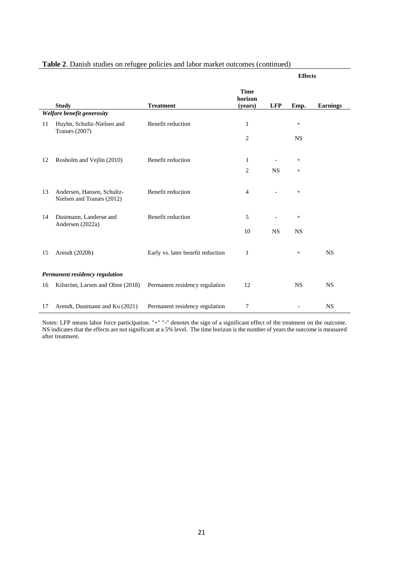|    |                                                    |                                   |                                   |                          | <b>Effects</b>  |                 |
|----|----------------------------------------------------|-----------------------------------|-----------------------------------|--------------------------|-----------------|-----------------|
|    | <b>Study</b>                                       | <b>Treatment</b>                  | <b>Time</b><br>horizon<br>(years) | <b>LFP</b>               | Emp.            | <b>Earnings</b> |
|    | Welfare benefit generosity                         |                                   |                                   |                          |                 |                 |
| 11 | Huyhn, Schultz-Nielsen and<br><b>Tranæs</b> (2007) | Benefit reduction                 | $\mathbf{1}$                      |                          | $\! + \!\!\!\!$ |                 |
|    |                                                    |                                   | $\overline{c}$                    |                          | <b>NS</b>       |                 |
| 12 | Rosholm and Vejlin (2010)                          | Benefit reduction                 | 1                                 | $\overline{\phantom{a}}$ | $+$             |                 |
|    |                                                    |                                   |                                   |                          |                 |                 |
|    |                                                    |                                   | $\overline{c}$                    | <b>NS</b>                | $+$             |                 |
| 13 | Andersen, Hansen, Schultz-                         | Benefit reduction                 | $\overline{4}$                    |                          | $+$             |                 |
|    | Nielsen and Tranæs (2012)                          |                                   |                                   |                          |                 |                 |
| 14 | Dustmann, Landersø and                             | Benefit reduction                 | 5                                 | $\overline{\phantom{a}}$ | $+$             |                 |
|    | Andersen (2022a)                                   |                                   | 10                                | <b>NS</b>                | <b>NS</b>       |                 |
|    |                                                    |                                   |                                   |                          |                 |                 |
| 15 | Arendt (2020b)                                     | Early vs. later benefit reduction | 1                                 |                          | $\! + \!\!\!\!$ | <b>NS</b>       |
|    |                                                    |                                   |                                   |                          |                 |                 |
|    | Permanent residency regulation                     |                                   |                                   |                          |                 |                 |
| 16 | Kilström, Larsen and Olme (2018)                   | Permanent residency regulation    | 12                                |                          | <b>NS</b>       | <b>NS</b>       |
|    |                                                    |                                   |                                   |                          |                 |                 |
| 17 | Arendt, Dustmann and Ku (2021)                     | Permanent residency regulation    | 7                                 |                          |                 | <b>NS</b>       |

# **Table 2**. Danish studies on refugee policies and labor market outcomes (continued)

Notes: LFP means labor force participation. "+" "-" denotes the sign of a significant effect of the treatment on the outcome. NS indicates that the effects are not significant at a 5% level. The time horizon is the number of years the outcome is measured after treatment.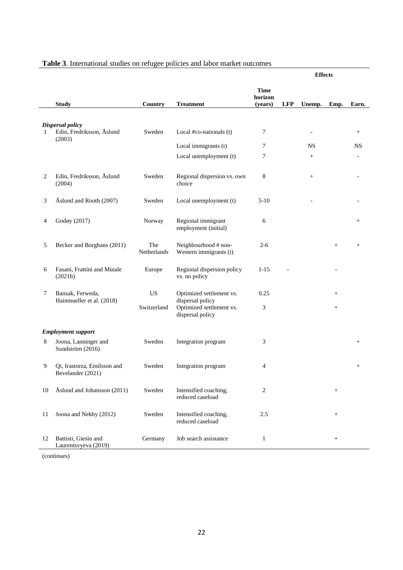| Table 3. International studies on refugee policies and labor market outcomes |  |  |  |
|------------------------------------------------------------------------------|--|--|--|
|                                                                              |  |  |  |

|    |                                                  |                    |                                                                  |                                   |            | <b>Effects</b>           |                 |                 |
|----|--------------------------------------------------|--------------------|------------------------------------------------------------------|-----------------------------------|------------|--------------------------|-----------------|-----------------|
|    | <b>Study</b>                                     | Country            | <b>Treatment</b>                                                 | <b>Time</b><br>horizon<br>(years) | <b>LFP</b> | Unemp.                   | Emp.            | Earn.           |
|    |                                                  |                    |                                                                  |                                   |            |                          |                 |                 |
| 1  | Dispersal policy<br>Edin, Fredriksson, Åslund    | Sweden             | Local #co-nationals (t)                                          | 7                                 |            | $\overline{\phantom{a}}$ |                 | $^{+}$          |
|    | (2003)                                           |                    | Local immigrants (t)                                             | 7                                 |            | <b>NS</b>                |                 | <b>NS</b>       |
|    |                                                  |                    | Local unemployment (t)                                           | 7                                 |            | $+$                      |                 |                 |
| 2  | Edin, Fredriksson, Åslund<br>(2004)              | Sweden             | Regional dispersion vs. own<br>choice                            | 8                                 |            | $\! + \!\!\!\!$          |                 |                 |
| 3  | Åslund and Rooth (2007)                          | Sweden             | Local unemployment (t)                                           | $5-10$                            |            |                          |                 |                 |
| 4  | Godøy (2017)                                     | Norway             | Regional immigrant<br>employment (initial)                       | 6                                 |            |                          |                 | $^{+}$          |
| 5  | Becker and Borghans (2011)                       | The<br>Netherlands | Neighbourhood # non-<br>Western immigrants (t)                   | $2 - 6$                           |            |                          | $^{+}$          | $\! + \!\!\!\!$ |
| 6  | Fasani, Frattini and Minale<br>(2021b)           | Europe             | Regional dispersion policy<br>vs. no policy                      | $1 - 15$                          |            |                          |                 |                 |
| 7  | Bansak, Ferweda,                                 | <b>US</b>          | Optimized settlement vs.                                         | 0.25                              |            |                          | $\! + \!\!\!\!$ |                 |
|    | Hainmueller et al. (2018)                        | Switzerland        | dispersal policy<br>Optimized settlement vs.<br>dispersal policy | 3                                 |            |                          | $^{+}$          |                 |
|    | <b>Employment support</b>                        |                    |                                                                  |                                   |            |                          |                 |                 |
| 8  | Joona, Lanninger and<br>Sundström (2016)         | Sweden             | Integration program                                              | 3                                 |            |                          |                 | $^{+}$          |
| 9  | Qi, Irastorza, Emilsson and<br>Bevelander (2021) | Sweden             | Integration program                                              | 4                                 |            |                          |                 | $^{+}$          |
| 10 | Åslund and Johansson (2011)                      | Sweden             | Intensified coaching,<br>reduced caseload                        | 2                                 |            |                          | $\! + \!\!\!\!$ |                 |
| 11 | Joona and Nekby (2012)                           | Sweden             | Intensified coaching,<br>reduced caseload                        | 2.5                               |            |                          | $\! + \!\!\!\!$ |                 |
| 12 | Battisti, Giesin and<br>Laurentsvyeva (2019)     | Germany            | Job search assistance                                            | $\mathbf{1}$                      |            |                          | $\! + \!\!\!\!$ |                 |

(continues)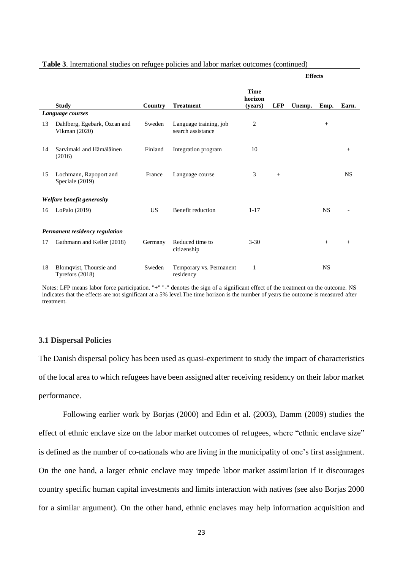| Table 3. International studies on refugee policies and labor market outcomes (continued) |
|------------------------------------------------------------------------------------------|
|------------------------------------------------------------------------------------------|

|                                |                                               |           |                                             |                                   |            | <b>Effects</b> |           |           |
|--------------------------------|-----------------------------------------------|-----------|---------------------------------------------|-----------------------------------|------------|----------------|-----------|-----------|
|                                | <b>Study</b>                                  | Country   | <b>Treatment</b>                            | <b>Time</b><br>horizon<br>(years) | <b>LFP</b> | Unemp.         | Emp.      | Earn.     |
|                                | Language courses                              |           |                                             |                                   |            |                |           |           |
| 13                             | Dahlberg, Egebark, Özcan and<br>Vikman (2020) | Sweden    | Language training, job<br>search assistance | 2                                 |            |                | $+$       |           |
| 14                             | Sarvimaki and Hämäläinen<br>(2016)            | Finland   | Integration program                         | 10                                |            |                |           | $^{+}$    |
| 15                             | Lochmann, Rapoport and<br>Speciale (2019)     | France    | Language course                             | 3                                 | $+$        |                |           | <b>NS</b> |
|                                | Welfare benefit generosity                    |           |                                             |                                   |            |                |           |           |
| 16                             | LoPalo (2019)                                 | <b>US</b> | Benefit reduction                           | $1 - 17$                          |            |                | <b>NS</b> |           |
| Permanent residency regulation |                                               |           |                                             |                                   |            |                |           |           |
| 17                             | Gathmann and Keller (2018)                    | Germany   | Reduced time to<br>citizenship              | $3 - 30$                          |            |                | $+$       | $^{+}$    |
| 18                             | Blomqvist, Thoursie and<br>Tyrefors (2018)    | Sweden    | Temporary vs. Permanent<br>residency        | 1                                 |            |                | <b>NS</b> |           |

Notes: LFP means labor force participation. "+" "-" denotes the sign of a significant effect of the treatment on the outcome. NS indicates that the effects are not significant at a 5% level.The time horizon is the number of years the outcome is measured after treatment.

#### **3.1 Dispersal Policies**

The Danish dispersal policy has been used as quasi-experiment to study the impact of characteristics of the local area to which refugees have been assigned after receiving residency on their labor market performance.

Following earlier work by Borjas (2000) and Edin et al. (2003), Damm (2009) studies the effect of ethnic enclave size on the labor market outcomes of refugees, where "ethnic enclave size" is defined as the number of co-nationals who are living in the municipality of one's first assignment. On the one hand, a larger ethnic enclave may impede labor market assimilation if it discourages country specific human capital investments and limits interaction with natives (see also Borjas 2000 for a similar argument). On the other hand, ethnic enclaves may help information acquisition and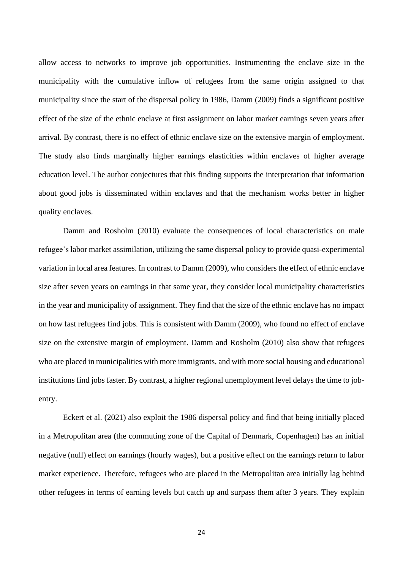allow access to networks to improve job opportunities. Instrumenting the enclave size in the municipality with the cumulative inflow of refugees from the same origin assigned to that municipality since the start of the dispersal policy in 1986, Damm (2009) finds a significant positive effect of the size of the ethnic enclave at first assignment on labor market earnings seven years after arrival. By contrast, there is no effect of ethnic enclave size on the extensive margin of employment. The study also finds marginally higher earnings elasticities within enclaves of higher average education level. The author conjectures that this finding supports the interpretation that information about good jobs is disseminated within enclaves and that the mechanism works better in higher quality enclaves.

Damm and Rosholm (2010) evaluate the consequences of local characteristics on male refugee's labor market assimilation, utilizing the same dispersal policy to provide quasi-experimental variation in local area features. In contrast to Damm (2009), who considers the effect of ethnic enclave size after seven years on earnings in that same year, they consider local municipality characteristics in the year and municipality of assignment. They find that the size of the ethnic enclave has no impact on how fast refugees find jobs. This is consistent with Damm (2009), who found no effect of enclave size on the extensive margin of employment. Damm and Rosholm (2010) also show that refugees who are placed in municipalities with more immigrants, and with more social housing and educational institutions find jobs faster. By contrast, a higher regional unemployment level delays the time to jobentry.

Eckert et al. (2021) also exploit the 1986 dispersal policy and find that being initially placed in a Metropolitan area (the commuting zone of the Capital of Denmark, Copenhagen) has an initial negative (null) effect on earnings (hourly wages), but a positive effect on the earnings return to labor market experience. Therefore, refugees who are placed in the Metropolitan area initially lag behind other refugees in terms of earning levels but catch up and surpass them after 3 years. They explain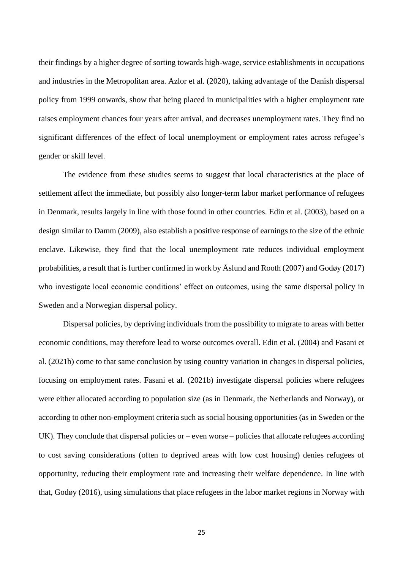their findings by a higher degree of sorting towards high-wage, service establishments in occupations and industries in the Metropolitan area. Azlor et al. (2020), taking advantage of the Danish dispersal policy from 1999 onwards, show that being placed in municipalities with a higher employment rate raises employment chances four years after arrival, and decreases unemployment rates. They find no significant differences of the effect of local unemployment or employment rates across refugee's gender or skill level.

The evidence from these studies seems to suggest that local characteristics at the place of settlement affect the immediate, but possibly also longer-term labor market performance of refugees in Denmark, results largely in line with those found in other countries. Edin et al. (2003), based on a design similar to Damm (2009), also establish a positive response of earnings to the size of the ethnic enclave. Likewise, they find that the local unemployment rate reduces individual employment probabilities, a result that is further confirmed in work by Åslund and Rooth (2007) and Godøy (2017) who investigate local economic conditions' effect on outcomes, using the same dispersal policy in Sweden and a Norwegian dispersal policy.

Dispersal policies, by depriving individuals from the possibility to migrate to areas with better economic conditions, may therefore lead to worse outcomes overall. Edin et al. (2004) and Fasani et al. (2021b) come to that same conclusion by using country variation in changes in dispersal policies, focusing on employment rates. Fasani et al. (2021b) investigate dispersal policies where refugees were either allocated according to population size (as in Denmark, the Netherlands and Norway), or according to other non-employment criteria such as social housing opportunities (as in Sweden or the UK). They conclude that dispersal policies or – even worse – policies that allocate refugees according to cost saving considerations (often to deprived areas with low cost housing) denies refugees of opportunity, reducing their employment rate and increasing their welfare dependence. In line with that, Godøy (2016), using simulations that place refugees in the labor market regions in Norway with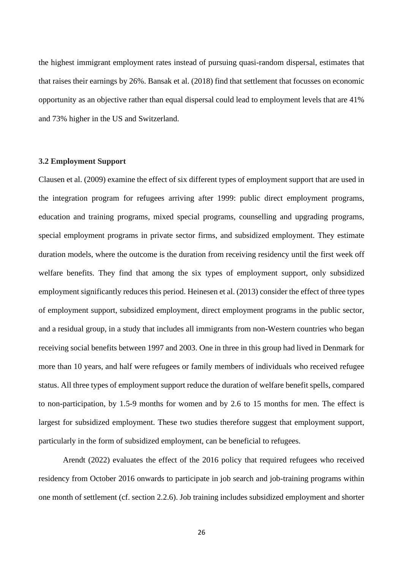the highest immigrant employment rates instead of pursuing quasi-random dispersal, estimates that that raises their earnings by 26%. Bansak et al. (2018) find that settlement that focusses on economic opportunity as an objective rather than equal dispersal could lead to employment levels that are 41% and 73% higher in the US and Switzerland.

# **3.2 Employment Support**

Clausen et al. (2009) examine the effect of six different types of employment support that are used in the integration program for refugees arriving after 1999: public direct employment programs, education and training programs, mixed special programs, counselling and upgrading programs, special employment programs in private sector firms, and subsidized employment. They estimate duration models, where the outcome is the duration from receiving residency until the first week off welfare benefits. They find that among the six types of employment support, only subsidized employment significantly reduces this period. Heinesen et al. (2013) consider the effect of three types of employment support, subsidized employment, direct employment programs in the public sector, and a residual group, in a study that includes all immigrants from non-Western countries who began receiving social benefits between 1997 and 2003. One in three in this group had lived in Denmark for more than 10 years, and half were refugees or family members of individuals who received refugee status. All three types of employment support reduce the duration of welfare benefit spells, compared to non-participation, by 1.5-9 months for women and by 2.6 to 15 months for men. The effect is largest for subsidized employment. These two studies therefore suggest that employment support, particularly in the form of subsidized employment, can be beneficial to refugees.

Arendt (2022) evaluates the effect of the 2016 policy that required refugees who received residency from October 2016 onwards to participate in job search and job-training programs within one month of settlement (cf. section 2.2.6). Job training includes subsidized employment and shorter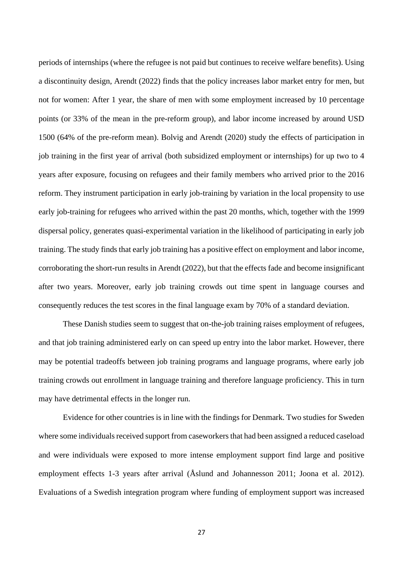periods of internships (where the refugee is not paid but continues to receive welfare benefits). Using a discontinuity design, Arendt (2022) finds that the policy increases labor market entry for men, but not for women: After 1 year, the share of men with some employment increased by 10 percentage points (or 33% of the mean in the pre-reform group), and labor income increased by around USD 1500 (64% of the pre-reform mean). Bolvig and Arendt (2020) study the effects of participation in job training in the first year of arrival (both subsidized employment or internships) for up two to 4 years after exposure, focusing on refugees and their family members who arrived prior to the 2016 reform. They instrument participation in early job-training by variation in the local propensity to use early job-training for refugees who arrived within the past 20 months, which, together with the 1999 dispersal policy, generates quasi-experimental variation in the likelihood of participating in early job training. The study finds that early job training has a positive effect on employment and labor income, corroborating the short-run results in Arendt (2022), but that the effects fade and become insignificant after two years. Moreover, early job training crowds out time spent in language courses and consequently reduces the test scores in the final language exam by 70% of a standard deviation.

These Danish studies seem to suggest that on-the-job training raises employment of refugees, and that job training administered early on can speed up entry into the labor market. However, there may be potential tradeoffs between job training programs and language programs, where early job training crowds out enrollment in language training and therefore language proficiency. This in turn may have detrimental effects in the longer run.

Evidence for other countries is in line with the findings for Denmark. Two studies for Sweden where some individuals received support from caseworkers that had been assigned a reduced caseload and were individuals were exposed to more intense employment support find large and positive employment effects 1-3 years after arrival (Åslund and Johannesson 2011; Joona et al. 2012). Evaluations of a Swedish integration program where funding of employment support was increased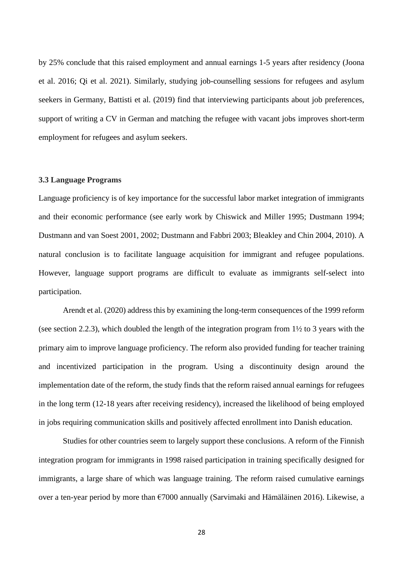by 25% conclude that this raised employment and annual earnings 1-5 years after residency (Joona et al. 2016; Qi et al. 2021). Similarly, studying job-counselling sessions for refugees and asylum seekers in Germany, Battisti et al. (2019) find that interviewing participants about job preferences, support of writing a CV in German and matching the refugee with vacant jobs improves short-term employment for refugees and asylum seekers.

#### **3.3 Language Programs**

Language proficiency is of key importance for the successful labor market integration of immigrants and their economic performance (see early work by Chiswick and Miller 1995; Dustmann 1994; Dustmann and van Soest 2001, 2002; Dustmann and Fabbri 2003; Bleakley and Chin 2004, 2010). A natural conclusion is to facilitate language acquisition for immigrant and refugee populations. However, language support programs are difficult to evaluate as immigrants self-select into participation.

Arendt et al. (2020) address this by examining the long-term consequences of the 1999 reform (see section 2.2.3), which doubled the length of the integration program from 1½ to 3 years with the primary aim to improve language proficiency. The reform also provided funding for teacher training and incentivized participation in the program. Using a discontinuity design around the implementation date of the reform, the study finds that the reform raised annual earnings for refugees in the long term (12-18 years after receiving residency), increased the likelihood of being employed in jobs requiring communication skills and positively affected enrollment into Danish education.

Studies for other countries seem to largely support these conclusions. A reform of the Finnish integration program for immigrants in 1998 raised participation in training specifically designed for immigrants, a large share of which was language training. The reform raised cumulative earnings over a ten-year period by more than €7000 annually (Sarvimaki and Hämäläinen 2016). Likewise, a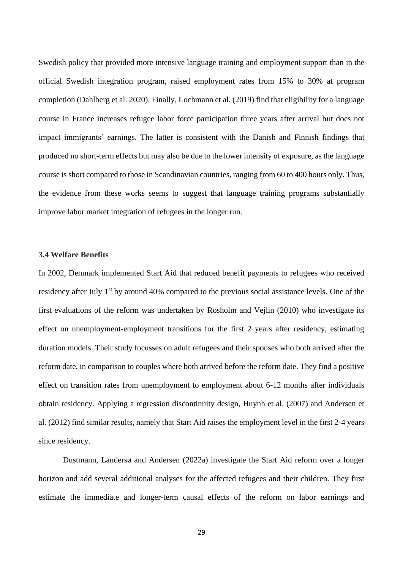Swedish policy that provided more intensive language training and employment support than in the official Swedish integration program, raised employment rates from 15% to 30% at program completion (Dahlberg et al. 2020). Finally, Lochmann et al. (2019) find that eligibility for a language course in France increases refugee labor force participation three years after arrival but does not impact immigrants' earnings. The latter is consistent with the Danish and Finnish findings that produced no short-term effects but may also be due to the lower intensity of exposure, as the language course is short compared to those in Scandinavian countries, ranging from 60 to 400 hours only. Thus, the evidence from these works seems to suggest that language training programs substantially improve labor market integration of refugees in the longer run.

#### **3.4 Welfare Benefits**

In 2002, Denmark implemented Start Aid that reduced benefit payments to refugees who received residency after July 1<sup>st</sup> by around 40% compared to the previous social assistance levels. One of the first evaluations of the reform was undertaken by Rosholm and Vejlin (2010) who investigate its effect on unemployment-employment transitions for the first 2 years after residency, estimating duration models. Their study focusses on adult refugees and their spouses who both arrived after the reform date, in comparison to couples where both arrived before the reform date. They find a positive effect on transition rates from unemployment to employment about 6-12 months after individuals obtain residency. Applying a regression discontinuity design, Huynh et al. (2007) and Andersen et al. (2012) find similar results, namely that Start Aid raises the employment level in the first 2-4 years since residency.

Dustmann, Landersø and Andersen (2022a) investigate the Start Aid reform over a longer horizon and add several additional analyses for the affected refugees and their children. They first estimate the immediate and longer-term causal effects of the reform on labor earnings and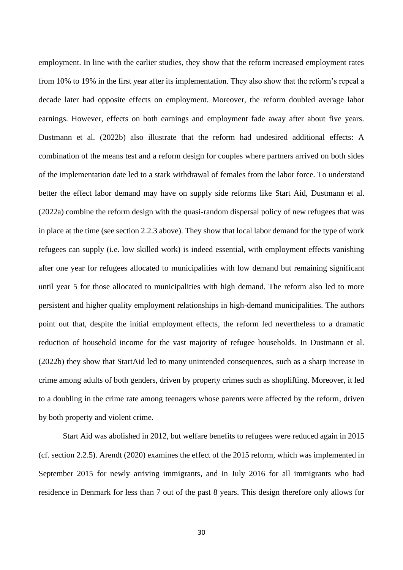employment. In line with the earlier studies, they show that the reform increased employment rates from 10% to 19% in the first year after its implementation. They also show that the reform's repeal a decade later had opposite effects on employment. Moreover, the reform doubled average labor earnings. However, effects on both earnings and employment fade away after about five years. Dustmann et al. (2022b) also illustrate that the reform had undesired additional effects: A combination of the means test and a reform design for couples where partners arrived on both sides of the implementation date led to a stark withdrawal of females from the labor force. To understand better the effect labor demand may have on supply side reforms like Start Aid, Dustmann et al. (2022a) combine the reform design with the quasi-random dispersal policy of new refugees that was in place at the time (see section 2.2.3 above). They show that local labor demand for the type of work refugees can supply (i.e. low skilled work) is indeed essential, with employment effects vanishing after one year for refugees allocated to municipalities with low demand but remaining significant until year 5 for those allocated to municipalities with high demand. The reform also led to more persistent and higher quality employment relationships in high-demand municipalities. The authors point out that, despite the initial employment effects, the reform led nevertheless to a dramatic reduction of household income for the vast majority of refugee households. In Dustmann et al. (2022b) they show that StartAid led to many unintended consequences, such as a sharp increase in crime among adults of both genders, driven by property crimes such as shoplifting. Moreover, it led to a doubling in the crime rate among teenagers whose parents were affected by the reform, driven by both property and violent crime.

Start Aid was abolished in 2012, but welfare benefits to refugees were reduced again in 2015 (cf. section 2.2.5). Arendt (2020) examines the effect of the 2015 reform, which was implemented in September 2015 for newly arriving immigrants, and in July 2016 for all immigrants who had residence in Denmark for less than 7 out of the past 8 years. This design therefore only allows for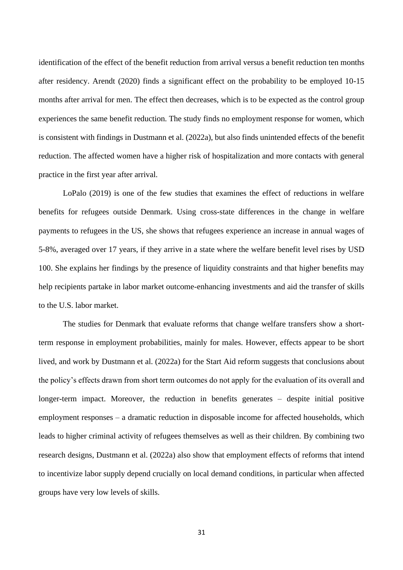identification of the effect of the benefit reduction from arrival versus a benefit reduction ten months after residency. Arendt (2020) finds a significant effect on the probability to be employed 10-15 months after arrival for men. The effect then decreases, which is to be expected as the control group experiences the same benefit reduction. The study finds no employment response for women, which is consistent with findings in Dustmann et al. (2022a), but also finds unintended effects of the benefit reduction. The affected women have a higher risk of hospitalization and more contacts with general practice in the first year after arrival.

LoPalo (2019) is one of the few studies that examines the effect of reductions in welfare benefits for refugees outside Denmark. Using cross-state differences in the change in welfare payments to refugees in the US, she shows that refugees experience an increase in annual wages of 5-8%, averaged over 17 years, if they arrive in a state where the welfare benefit level rises by USD 100. She explains her findings by the presence of liquidity constraints and that higher benefits may help recipients partake in labor market outcome-enhancing investments and aid the transfer of skills to the U.S. labor market.

The studies for Denmark that evaluate reforms that change welfare transfers show a shortterm response in employment probabilities, mainly for males. However, effects appear to be short lived, and work by Dustmann et al. (2022a) for the Start Aid reform suggests that conclusions about the policy's effects drawn from short term outcomes do not apply for the evaluation of its overall and longer-term impact. Moreover, the reduction in benefits generates – despite initial positive employment responses – a dramatic reduction in disposable income for affected households, which leads to higher criminal activity of refugees themselves as well as their children. By combining two research designs, Dustmann et al. (2022a) also show that employment effects of reforms that intend to incentivize labor supply depend crucially on local demand conditions, in particular when affected groups have very low levels of skills.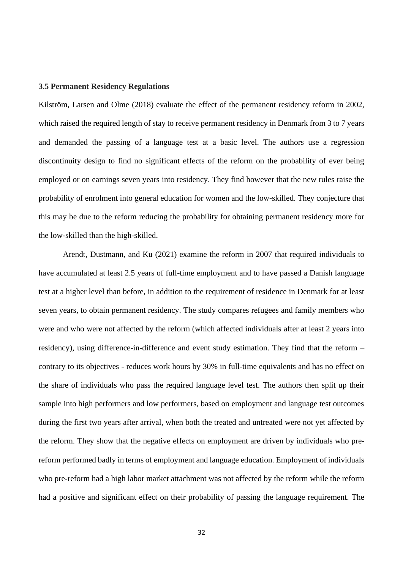#### **3.5 Permanent Residency Regulations**

Kilström, Larsen and Olme (2018) evaluate the effect of the permanent residency reform in 2002, which raised the required length of stay to receive permanent residency in Denmark from 3 to 7 years and demanded the passing of a language test at a basic level. The authors use a regression discontinuity design to find no significant effects of the reform on the probability of ever being employed or on earnings seven years into residency. They find however that the new rules raise the probability of enrolment into general education for women and the low-skilled. They conjecture that this may be due to the reform reducing the probability for obtaining permanent residency more for the low-skilled than the high-skilled.

Arendt, Dustmann, and Ku (2021) examine the reform in 2007 that required individuals to have accumulated at least 2.5 years of full-time employment and to have passed a Danish language test at a higher level than before, in addition to the requirement of residence in Denmark for at least seven years, to obtain permanent residency. The study compares refugees and family members who were and who were not affected by the reform (which affected individuals after at least 2 years into residency), using difference-in-difference and event study estimation. They find that the reform – contrary to its objectives - reduces work hours by 30% in full-time equivalents and has no effect on the share of individuals who pass the required language level test. The authors then split up their sample into high performers and low performers, based on employment and language test outcomes during the first two years after arrival, when both the treated and untreated were not yet affected by the reform. They show that the negative effects on employment are driven by individuals who prereform performed badly in terms of employment and language education. Employment of individuals who pre-reform had a high labor market attachment was not affected by the reform while the reform had a positive and significant effect on their probability of passing the language requirement. The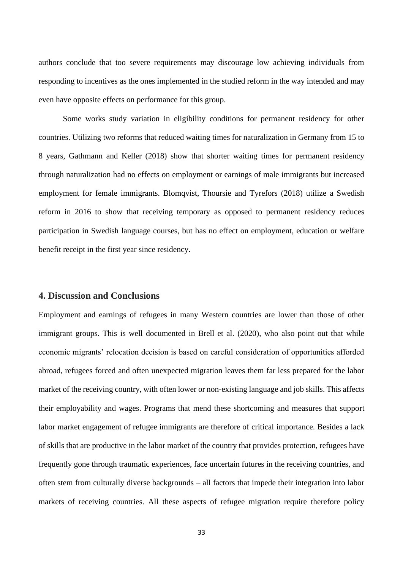authors conclude that too severe requirements may discourage low achieving individuals from responding to incentives as the ones implemented in the studied reform in the way intended and may even have opposite effects on performance for this group.

Some works study variation in eligibility conditions for permanent residency for other countries. Utilizing two reforms that reduced waiting times for naturalization in Germany from 15 to 8 years, Gathmann and Keller (2018) show that shorter waiting times for permanent residency through naturalization had no effects on employment or earnings of male immigrants but increased employment for female immigrants. Blomqvist, Thoursie and Tyrefors (2018) utilize a Swedish reform in 2016 to show that receiving temporary as opposed to permanent residency reduces participation in Swedish language courses, but has no effect on employment, education or welfare benefit receipt in the first year since residency.

# **4. Discussion and Conclusions**

Employment and earnings of refugees in many Western countries are lower than those of other immigrant groups. This is well documented in Brell et al. (2020), who also point out that while economic migrants' relocation decision is based on careful consideration of opportunities afforded abroad, refugees forced and often unexpected migration leaves them far less prepared for the labor market of the receiving country, with often lower or non-existing language and job skills. This affects their employability and wages. Programs that mend these shortcoming and measures that support labor market engagement of refugee immigrants are therefore of critical importance. Besides a lack of skills that are productive in the labor market of the country that provides protection, refugees have frequently gone through traumatic experiences, face uncertain futures in the receiving countries, and often stem from culturally diverse backgrounds – all factors that impede their integration into labor markets of receiving countries. All these aspects of refugee migration require therefore policy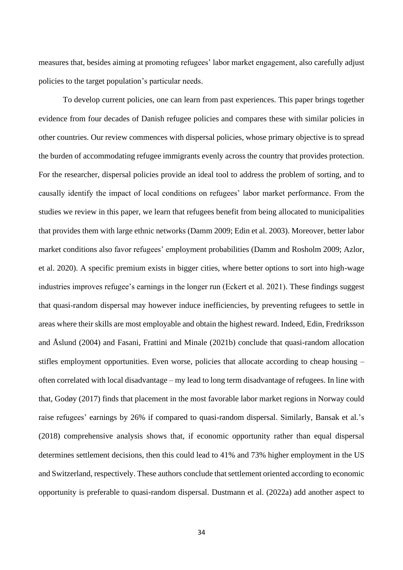measures that, besides aiming at promoting refugees' labor market engagement, also carefully adjust policies to the target population's particular needs.

To develop current policies, one can learn from past experiences. This paper brings together evidence from four decades of Danish refugee policies and compares these with similar policies in other countries. Our review commences with dispersal policies, whose primary objective is to spread the burden of accommodating refugee immigrants evenly across the country that provides protection. For the researcher, dispersal policies provide an ideal tool to address the problem of sorting, and to causally identify the impact of local conditions on refugees' labor market performance. From the studies we review in this paper, we learn that refugees benefit from being allocated to municipalities that provides them with large ethnic networks (Damm 2009; Edin et al. 2003). Moreover, better labor market conditions also favor refugees' employment probabilities (Damm and Rosholm 2009; Azlor, et al. 2020). A specific premium exists in bigger cities, where better options to sort into high-wage industries improves refugee's earnings in the longer run (Eckert et al. 2021). These findings suggest that quasi-random dispersal may however induce inefficiencies, by preventing refugees to settle in areas where their skills are most employable and obtain the highest reward. Indeed, Edin, Fredriksson and Åslund (2004) and Fasani, Frattini and Minale (2021b) conclude that quasi-random allocation stifles employment opportunities. Even worse, policies that allocate according to cheap housing – often correlated with local disadvantage – my lead to long term disadvantage of refugees. In line with that, Godøy (2017) finds that placement in the most favorable labor market regions in Norway could raise refugees' earnings by 26% if compared to quasi-random dispersal. Similarly, Bansak et al.'s (2018) comprehensive analysis shows that, if economic opportunity rather than equal dispersal determines settlement decisions, then this could lead to 41% and 73% higher employment in the US and Switzerland, respectively. These authors conclude that settlement oriented according to economic opportunity is preferable to quasi-random dispersal. Dustmann et al. (2022a) add another aspect to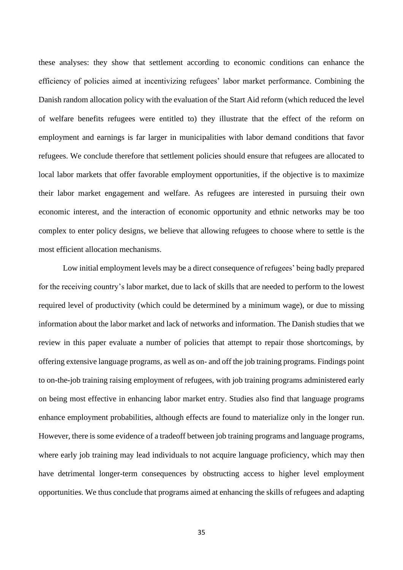these analyses: they show that settlement according to economic conditions can enhance the efficiency of policies aimed at incentivizing refugees' labor market performance. Combining the Danish random allocation policy with the evaluation of the Start Aid reform (which reduced the level of welfare benefits refugees were entitled to) they illustrate that the effect of the reform on employment and earnings is far larger in municipalities with labor demand conditions that favor refugees. We conclude therefore that settlement policies should ensure that refugees are allocated to local labor markets that offer favorable employment opportunities, if the objective is to maximize their labor market engagement and welfare. As refugees are interested in pursuing their own economic interest, and the interaction of economic opportunity and ethnic networks may be too complex to enter policy designs, we believe that allowing refugees to choose where to settle is the most efficient allocation mechanisms.

Low initial employment levels may be a direct consequence of refugees' being badly prepared for the receiving country's labor market, due to lack of skills that are needed to perform to the lowest required level of productivity (which could be determined by a minimum wage), or due to missing information about the labor market and lack of networks and information. The Danish studies that we review in this paper evaluate a number of policies that attempt to repair those shortcomings, by offering extensive language programs, as well as on- and off the job training programs. Findings point to on-the-job training raising employment of refugees, with job training programs administered early on being most effective in enhancing labor market entry. Studies also find that language programs enhance employment probabilities, although effects are found to materialize only in the longer run. However, there is some evidence of a tradeoff between job training programs and language programs, where early job training may lead individuals to not acquire language proficiency, which may then have detrimental longer-term consequences by obstructing access to higher level employment opportunities. We thus conclude that programs aimed at enhancing the skills of refugees and adapting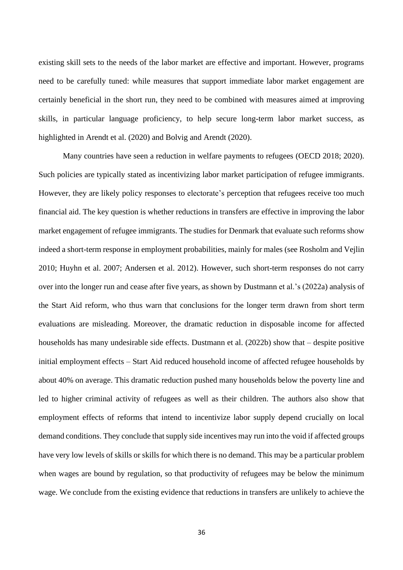existing skill sets to the needs of the labor market are effective and important. However, programs need to be carefully tuned: while measures that support immediate labor market engagement are certainly beneficial in the short run, they need to be combined with measures aimed at improving skills, in particular language proficiency, to help secure long-term labor market success, as highlighted in Arendt et al. (2020) and Bolvig and Arendt (2020).

Many countries have seen a reduction in welfare payments to refugees (OECD 2018; 2020). Such policies are typically stated as incentivizing labor market participation of refugee immigrants. However, they are likely policy responses to electorate's perception that refugees receive too much financial aid. The key question is whether reductions in transfers are effective in improving the labor market engagement of refugee immigrants. The studies for Denmark that evaluate such reforms show indeed a short-term response in employment probabilities, mainly for males (see Rosholm and Vejlin 2010; Huyhn et al. 2007; Andersen et al. 2012). However, such short-term responses do not carry over into the longer run and cease after five years, as shown by Dustmann et al.'s (2022a) analysis of the Start Aid reform, who thus warn that conclusions for the longer term drawn from short term evaluations are misleading. Moreover, the dramatic reduction in disposable income for affected households has many undesirable side effects. Dustmann et al. (2022b) show that – despite positive initial employment effects – Start Aid reduced household income of affected refugee households by about 40% on average. This dramatic reduction pushed many households below the poverty line and led to higher criminal activity of refugees as well as their children. The authors also show that employment effects of reforms that intend to incentivize labor supply depend crucially on local demand conditions. They conclude that supply side incentives may run into the void if affected groups have very low levels of skills or skills for which there is no demand. This may be a particular problem when wages are bound by regulation, so that productivity of refugees may be below the minimum wage. We conclude from the existing evidence that reductions in transfers are unlikely to achieve the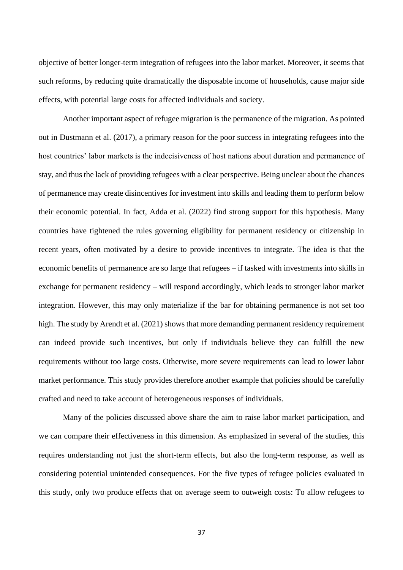objective of better longer-term integration of refugees into the labor market. Moreover, it seems that such reforms, by reducing quite dramatically the disposable income of households, cause major side effects, with potential large costs for affected individuals and society.

Another important aspect of refugee migration is the permanence of the migration. As pointed out in Dustmann et al. (2017), a primary reason for the poor success in integrating refugees into the host countries' labor markets is the indecisiveness of host nations about duration and permanence of stay, and thus the lack of providing refugees with a clear perspective. Being unclear about the chances of permanence may create disincentives for investment into skills and leading them to perform below their economic potential. In fact, Adda et al. (2022) find strong support for this hypothesis. Many countries have tightened the rules governing eligibility for permanent residency or citizenship in recent years, often motivated by a desire to provide incentives to integrate. The idea is that the economic benefits of permanence are so large that refugees – if tasked with investments into skills in exchange for permanent residency – will respond accordingly, which leads to stronger labor market integration. However, this may only materialize if the bar for obtaining permanence is not set too high. The study by Arendt et al. (2021) shows that more demanding permanent residency requirement can indeed provide such incentives, but only if individuals believe they can fulfill the new requirements without too large costs. Otherwise, more severe requirements can lead to lower labor market performance. This study provides therefore another example that policies should be carefully crafted and need to take account of heterogeneous responses of individuals.

Many of the policies discussed above share the aim to raise labor market participation, and we can compare their effectiveness in this dimension. As emphasized in several of the studies, this requires understanding not just the short-term effects, but also the long-term response, as well as considering potential unintended consequences. For the five types of refugee policies evaluated in this study, only two produce effects that on average seem to outweigh costs: To allow refugees to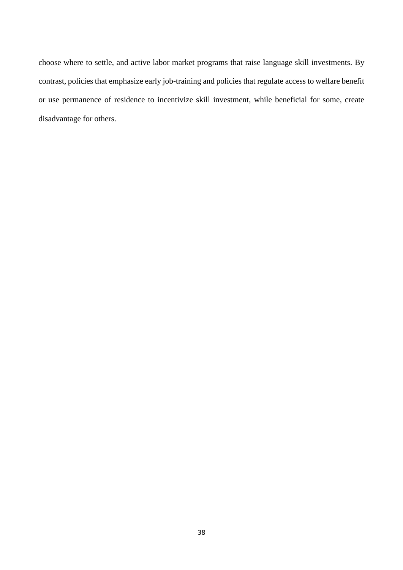choose where to settle, and active labor market programs that raise language skill investments. By contrast, policies that emphasize early job-training and policies that regulate access to welfare benefit or use permanence of residence to incentivize skill investment, while beneficial for some, create disadvantage for others.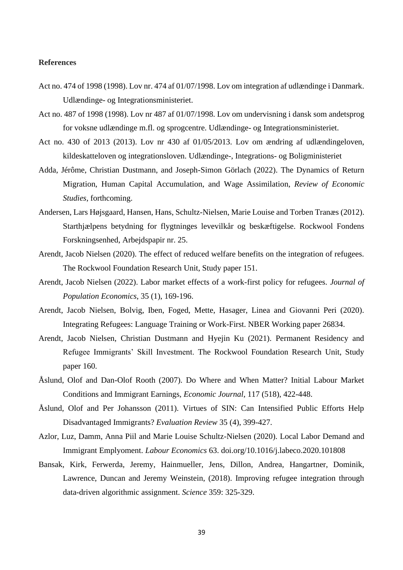#### **References**

- Act no. 474 of 1998 (1998). Lov nr. 474 af 01/07/1998. Lov om integration af udlændinge i Danmark. Udlændinge- og Integrationsministeriet.
- Act no. 487 of 1998 (1998). Lov nr 487 af 01/07/1998. Lov om undervisning i dansk som andetsprog for voksne udlændinge m.fl. og sprogcentre. Udlændinge- og Integrationsministeriet.
- Act no. 430 of 2013 (2013). Lov nr 430 af 01/05/2013. Lov om ændring af udlændingeloven, kildeskatteloven og integrationsloven. Udlændinge-, Integrations- og Boligministeriet
- Adda, Jérôme, Christian Dustmann, and Joseph-Simon Görlach (2022). The Dynamics of Return Migration, Human Capital Accumulation, and Wage Assimilation, *Review of Economic Studies*, forthcoming.
- Andersen, Lars Højsgaard, Hansen, Hans, Schultz-Nielsen, Marie Louise and Torben Tranæs (2012). Starthjælpens betydning for flygtninges levevilkår og beskæftigelse. Rockwool Fondens Forskningsenhed, Arbejdspapir nr. 25.
- Arendt, Jacob Nielsen (2020). The effect of reduced welfare benefits on the integration of refugees. The Rockwool Foundation Research Unit, Study paper 151.
- Arendt, Jacob Nielsen (2022). Labor market effects of a work-first policy for refugees. *Journal of Population Economics*, 35 (1), 169-196.
- Arendt, Jacob Nielsen, Bolvig, Iben, Foged, Mette, Hasager, Linea and Giovanni Peri (2020). Integrating Refugees: Language Training or Work-First. NBER Working paper 26834.
- Arendt, Jacob Nielsen, Christian Dustmann and Hyejin Ku (2021). Permanent Residency and Refugee Immigrants' Skill Investment. The Rockwool Foundation Research Unit, Study paper 160.
- Åslund, Olof and Dan-Olof Rooth (2007). Do Where and When Matter? Initial Labour Market Conditions and Immigrant Earnings, *Economic Journal*, 117 (518), 422-448.
- Åslund, Olof and Per Johansson (2011). Virtues of SIN: Can Intensified Public Efforts Help Disadvantaged Immigrants? *Evaluation Review* 35 (4), 399-427.
- Azlor, Luz, Damm, Anna Piil and Marie Louise Schultz-Nielsen (2020). Local Labor Demand and Immigrant Emplyoment. *Labour Economics* 63. doi.org/10.1016/j.labeco.2020.101808
- Bansak, Kirk, Ferwerda, Jeremy, Hainmueller, Jens, Dillon, Andrea, Hangartner, Dominik, Lawrence, Duncan and Jeremy Weinstein, (2018). Improving refugee integration through data-driven algorithmic assignment. *Science* 359: 325-329.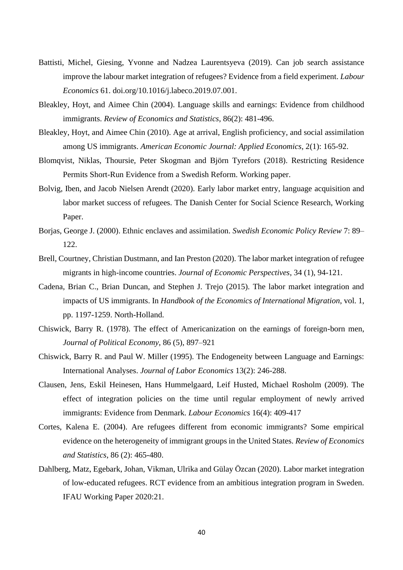- Battisti, Michel, Giesing, Yvonne and Nadzea Laurentsyeva (2019). Can job search assistance improve the labour market integration of refugees? Evidence from a field experiment. *Labour Economics* 61. doi.org/10.1016/j.labeco.2019.07.001.
- Bleakley, Hoyt, and Aimee Chin (2004). Language skills and earnings: Evidence from childhood immigrants. *Review of Economics and Statistics*, 86(2): 481-496.
- Bleakley, Hoyt, and Aimee Chin (2010). Age at arrival, English proficiency, and social assimilation among US immigrants. *American Economic Journal: Applied Economics*, 2(1): 165-92.
- Blomqvist, Niklas, Thoursie, Peter Skogman and Björn Tyrefors (2018). Restricting Residence Permits Short-Run Evidence from a Swedish Reform. Working paper.
- Bolvig, Iben, and Jacob Nielsen Arendt (2020). Early labor market entry, language acquisition and labor market success of refugees. The Danish Center for Social Science Research, Working Paper.
- Borjas, George J. (2000). Ethnic enclaves and assimilation. *Swedish Economic Policy Review* 7: 89– 122.
- Brell, Courtney, Christian Dustmann, and Ian Preston (2020). The labor market integration of refugee migrants in high-income countries. *Journal of Economic Perspectives*, 34 (1), 94-121.
- Cadena, Brian C., Brian Duncan, and Stephen J. Trejo (2015). The labor market integration and impacts of US immigrants. In *Handbook of the Economics of International Migration*, vol. 1, pp. 1197-1259. North-Holland.
- Chiswick, Barry R. (1978). The effect of Americanization on the earnings of foreign-born men, *Journal of Political Economy*, 86 (5), 897–921
- Chiswick, Barry R. and Paul W. Miller (1995). The Endogeneity between Language and Earnings: International Analyses. *Journal of Labor Economics* 13(2): 246-288.
- Clausen, Jens, Eskil Heinesen, Hans Hummelgaard, Leif Husted, Michael Rosholm (2009). The effect of integration policies on the time until regular employment of newly arrived immigrants: Evidence from Denmark. *Labour Economics* 16(4): 409-417
- Cortes, Kalena E. (2004). Are refugees different from economic immigrants? Some empirical evidence on the heterogeneity of immigrant groups in the United States. *Review of Economics and Statistics*, 86 (2): 465-480.
- Dahlberg, Matz, Egebark, Johan, Vikman, Ulrika and Gülay Özcan (2020). Labor market integration of low-educated refugees. RCT evidence from an ambitious integration program in Sweden. IFAU Working Paper 2020:21.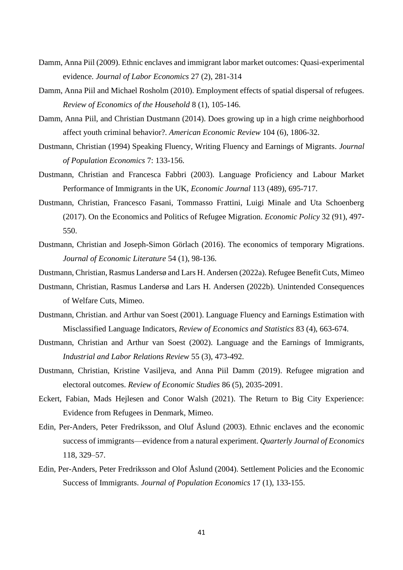- Damm, Anna Piil (2009). Ethnic enclaves and immigrant labor market outcomes: Quasi-experimental evidence. *Journal of Labor Economics* 27 (2), 281-314
- Damm, Anna Piil and Michael Rosholm (2010). Employment effects of spatial dispersal of refugees. *Review of Economics of the Household* 8 (1), 105-146.
- Damm, Anna Piil, and Christian Dustmann (2014). Does growing up in a high crime neighborhood affect youth criminal behavior?. *American Economic Review* 104 (6), 1806-32.
- Dustmann, Christian (1994) Speaking Fluency, Writing Fluency and Earnings of Migrants. *Journal of Population Economics* 7: 133-156.
- Dustmann, Christian and Francesca Fabbri (2003). Language Proficiency and Labour Market Performance of Immigrants in the UK, *Economic Journal* 113 (489), 695-717.
- Dustmann, Christian, Francesco Fasani, Tommasso Frattini, Luigi Minale and Uta Schoenberg (2017). On the Economics and Politics of Refugee Migration. *Economic Policy* 32 (91), 497- 550.
- Dustmann, Christian and Joseph-Simon Görlach (2016). The economics of temporary Migrations. *Journal of Economic Literature* 54 (1), 98-136.

Dustmann, Christian, Rasmus Landersø and Lars H. Andersen (2022a). Refugee Benefit Cuts, Mimeo

- Dustmann, Christian, Rasmus Landersø and Lars H. Andersen (2022b). Unintended Consequences of Welfare Cuts, Mimeo.
- Dustmann, Christian. and Arthur van Soest (2001). Language Fluency and Earnings Estimation with Misclassified Language Indicators, *Review of Economics and Statistics* 83 (4), 663-674.
- Dustmann, Christian and Arthur van Soest (2002). Language and the Earnings of Immigrants, *Industrial and Labor Relations Review* 55 (3), 473-492.
- Dustmann, Christian, Kristine Vasiljeva, and Anna Piil Damm (2019). Refugee migration and electoral outcomes. *Review of Economic Studies* 86 (5), 2035-2091.
- Eckert, Fabian, Mads Hejlesen and Conor Walsh (2021). The Return to Big City Experience: Evidence from Refugees in Denmark, Mimeo.
- Edin, Per-Anders, Peter Fredriksson, and Oluf Åslund (2003). Ethnic enclaves and the economic success of immigrants—evidence from a natural experiment. *Quarterly Journal of Economics* 118, 329–57.
- Edin, Per-Anders, Peter Fredriksson and Olof Åslund (2004). Settlement Policies and the Economic Success of Immigrants. *Journal of Population Economics* 17 (1), 133-155.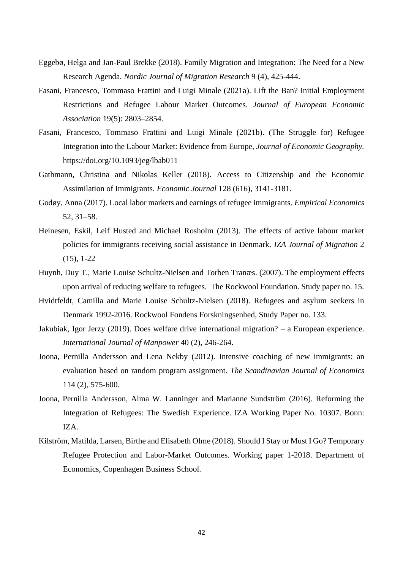- Eggebø, Helga and Jan-Paul Brekke (2018). Family Migration and Integration: The Need for a New Research Agenda. *Nordic Journal of Migration Research* 9 (4), 425-444.
- Fasani, Francesco, Tommaso Frattini and Luigi Minale (2021a). Lift the Ban? Initial Employment Restrictions and Refugee Labour Market Outcomes. *Journal of European Economic Association* 19(5): 2803–2854.
- Fasani, Francesco, Tommaso Frattini and Luigi Minale (2021b). (The Struggle for) Refugee Integration into the Labour Market: Evidence from Europe, *Journal of Economic Geography.* https://doi.org/10.1093/jeg/lbab011
- Gathmann, Christina and Nikolas Keller (2018). Access to Citizenship and the Economic Assimilation of Immigrants. *Economic Journal* 128 (616), 3141-3181.
- Godøy, Anna (2017). Local labor markets and earnings of refugee immigrants. *Empirical Economics* 52, 31–58.
- Heinesen, Eskil, Leif Husted and Michael Rosholm (2013). The effects of active labour market policies for immigrants receiving social assistance in Denmark. *IZA Journal of Migration* 2 (15), 1-22
- Huynh, Duy T., Marie Louise Schultz-Nielsen and Torben Tranæs. (2007). The employment effects upon arrival of reducing welfare to refugees. The Rockwool Foundation. Study paper no. 15.
- Hvidtfeldt, Camilla and Marie Louise Schultz-Nielsen (2018). Refugees and asylum seekers in Denmark 1992-2016. Rockwool Fondens Forskningsenhed, Study Paper no. 133.
- Jakubiak, Igor Jerzy (2019). Does welfare drive international migration? a European experience. *International Journal of Manpower* 40 (2), 246-264.
- Joona, Pernilla Andersson and Lena Nekby (2012). Intensive coaching of new immigrants: an evaluation based on random program assignment. *The Scandinavian Journal of Economics* 114 (2), 575-600.
- Joona, Pernilla Andersson, Alma W. Lanninger and Marianne Sundström (2016). Reforming the Integration of Refugees: The Swedish Experience. IZA Working Paper No. 10307. Bonn: IZA.
- Kilström, Matilda, Larsen, Birthe and Elisabeth Olme (2018). Should I Stay or Must I Go? Temporary Refugee Protection and Labor-Market Outcomes. Working paper 1-2018. Department of Economics, Copenhagen Business School.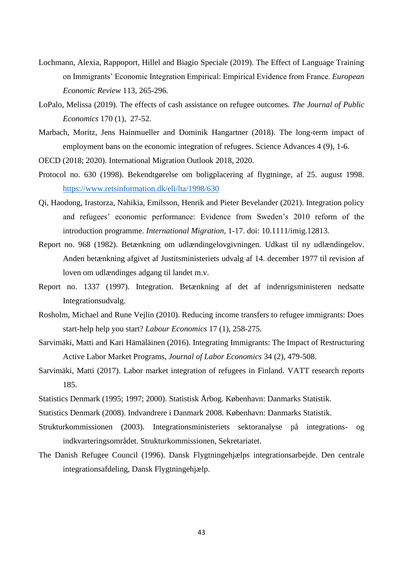- Lochmann, Alexia, Rappoport, Hillel and Biagio Speciale (2019). The Effect of Language Training on Immigrants' Economic Integration Empirical: Empirical Evidence from France. *European Economic Review* 113, 265-296.
- LoPalo, Melissa (2019). The effects of cash assistance on refugee outcomes. *The Journal of Public Economics* 170 (1), 27-52.
- Marbach, Moritz, Jens Hainmueller and Dominik Hangartner (2018). The long-term impact of employment bans on the economic integration of refugees. Science Advances 4 (9), 1-6.
- OECD (2018; 2020). International Migration Outlook 2018, 2020.
- Protocol no. 630 (1998). Bekendtgørelse om boligplacering af flygtninge, af 25. august 1998. <https://www.retsinformation.dk/eli/lta/1998/630>
- Qi, Haodong, Irastorza, Nahikia, Emilsson, Henrik and Pieter Bevelander (2021). Integration policy and refugees' economic performance: Evidence from Sweden's 2010 reform of the introduction programme. *International Migration,* 1-17. doi: 10.1111/imig.12813.
- Report no. 968 (1982). Betænkning om udlændingelovgivningen. Udkast til ny udlændingelov. Anden betænkning afgivet af Justitsministeriets udvalg af 14. december 1977 til revision af loven om udlændinges adgang til landet m.v.
- Report no. 1337 (1997). Integration. Betænkning af det af indenrigsministeren nedsatte Integrationsudvalg.
- Rosholm, Michael and Rune Vejlin (2010). Reducing income transfers to refugee immigrants: Does start-help help you start? *Labour Economics* 17 (1), 258-275.
- Sarvimäki, Matti and Kari Hämäläinen (2016). Integrating Immigrants: The Impact of Restructuring Active Labor Market Programs, *Journal of Labor Economics* 34 (2), 479-508.
- Sarvimäki, Matti (2017). Labor market integration of refugees in Finland. VATT research reports 185.
- Statistics Denmark (1995; 1997; 2000). Statistisk Årbog. København: Danmarks Statistik.
- Statistics Denmark (2008). Indvandrere i Danmark 2008. København: Danmarks Statistik.
- Strukturkommissionen (2003). Integrationsministeriets sektoranalyse på integrations- og indkvarteringsområdet. Strukturkommissionen, Sekretariatet.
- The Danish Refugee Council (1996). Dansk Flygtningehjælps integrationsarbejde. Den centrale integrationsafdeling, Dansk Flygtningehjælp.